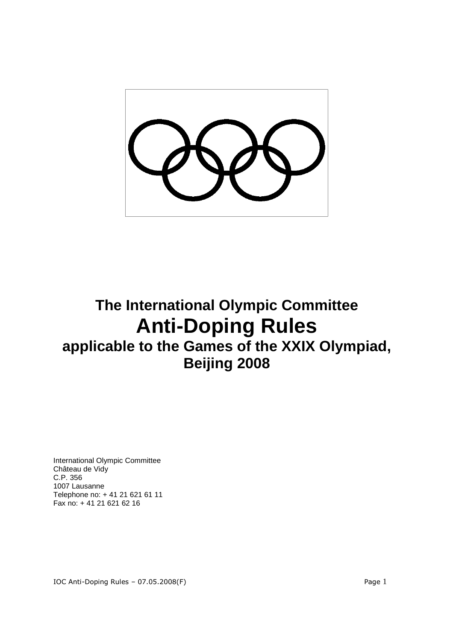

# **The International Olympic Committee Anti-Doping Rules applicable to the Games of the XXIX Olympiad, Beijing 2008**

International Olympic Committee Château de Vidy C.P. 356 1007 Lausanne Telephone no: + 41 21 621 61 11 Fax no: + 41 21 621 62 16

IOC Anti-Doping Rules - 07.05.2008(F) example 2 and 2 and 2 and 2 and 2 and 2 and 2 and 2 and 2 and 2 and 2 and 2 and 2 and 2 and 2 and 2 and 2 and 2 and 2 and 2 and 2 and 2 and 2 and 2 and 2 and 2 and 2 and 2 and 2 and 2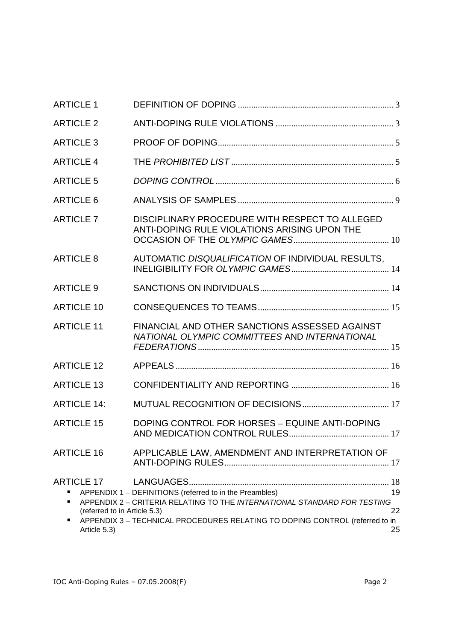| <b>ARTICLE 1</b>                                                                 |                                                                                                                                                                                                                     |                |
|----------------------------------------------------------------------------------|---------------------------------------------------------------------------------------------------------------------------------------------------------------------------------------------------------------------|----------------|
| <b>ARTICLE 2</b>                                                                 |                                                                                                                                                                                                                     |                |
| <b>ARTICLE 3</b>                                                                 |                                                                                                                                                                                                                     |                |
| <b>ARTICLE 4</b>                                                                 |                                                                                                                                                                                                                     |                |
| <b>ARTICLE 5</b>                                                                 |                                                                                                                                                                                                                     |                |
| <b>ARTICLE 6</b>                                                                 |                                                                                                                                                                                                                     |                |
| <b>ARTICLE 7</b>                                                                 | DISCIPLINARY PROCEDURE WITH RESPECT TO ALLEGED<br>ANTI-DOPING RULE VIOLATIONS ARISING UPON THE                                                                                                                      |                |
| <b>ARTICLE 8</b>                                                                 | AUTOMATIC DISQUALIFICATION OF INDIVIDUAL RESULTS,                                                                                                                                                                   |                |
| <b>ARTICLE 9</b>                                                                 |                                                                                                                                                                                                                     |                |
| <b>ARTICLE 10</b>                                                                |                                                                                                                                                                                                                     |                |
| <b>ARTICLE 11</b>                                                                | FINANCIAL AND OTHER SANCTIONS ASSESSED AGAINST<br>NATIONAL OLYMPIC COMMITTEES AND INTERNATIONAL                                                                                                                     |                |
| <b>ARTICLE 12</b>                                                                |                                                                                                                                                                                                                     |                |
| <b>ARTICLE 13</b>                                                                |                                                                                                                                                                                                                     |                |
| <b>ARTICLE 14:</b>                                                               |                                                                                                                                                                                                                     |                |
| <b>ARTICLE 15</b>                                                                | DOPING CONTROL FOR HORSES - EQUINE ANTI-DOPING                                                                                                                                                                      |                |
| <b>ARTICLE 16</b>                                                                | APPLICABLE LAW, AMENDMENT AND INTERPRETATION OF                                                                                                                                                                     |                |
| <b>ARTICLE 17</b><br>п<br>٠<br>(referred to in Article 5.3)<br>п<br>Article 5.3) | APPENDIX 1 - DEFINITIONS (referred to in the Preambles)<br>APPENDIX 2 - CRITERIA RELATING TO THE INTERNATIONAL STANDARD FOR TESTING<br>APPENDIX 3 - TECHNICAL PROCEDURES RELATING TO DOPING CONTROL (referred to in | 19<br>22<br>25 |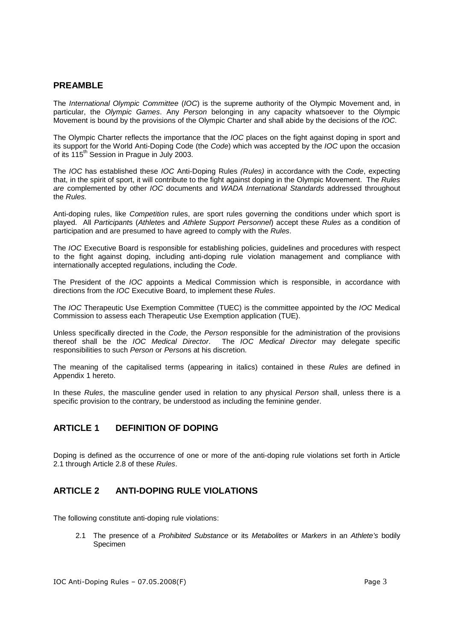### **PREAMBLE**

The International Olympic Committee (IOC) is the supreme authority of the Olympic Movement and, in particular, the Olympic Games. Any Person belonging in any capacity whatsoever to the Olympic Movement is bound by the provisions of the Olympic Charter and shall abide by the decisions of the IOC.

The Olympic Charter reflects the importance that the *IOC* places on the fight against doping in sport and its support for the World Anti-Doping Code (the Code) which was accepted by the IOC upon the occasion of its 115<sup>th</sup> Session in Prague in July 2003.

The *IOC* has established these *IOC* Anti-Doping Rules *(Rules)* in accordance with the *Code*, expecting that, in the spirit of sport, it will contribute to the fight against doping in the Olympic Movement. The Rules are complemented by other IOC documents and WADA International Standards addressed throughout the Rules.

Anti-doping rules, like Competition rules, are sport rules governing the conditions under which sport is played. All Participants (Athletes and Athlete Support Personnel) accept these Rules as a condition of participation and are presumed to have agreed to comply with the Rules.

The IOC Executive Board is responsible for establishing policies, guidelines and procedures with respect to the fight against doping, including anti-doping rule violation management and compliance with internationally accepted regulations, including the Code.

The President of the IOC appoints a Medical Commission which is responsible, in accordance with directions from the IOC Executive Board, to implement these Rules.

The IOC Therapeutic Use Exemption Committee (TUEC) is the committee appointed by the IOC Medical Commission to assess each Therapeutic Use Exemption application (TUE).

Unless specifically directed in the Code, the Person responsible for the administration of the provisions thereof shall be the IOC Medical Director. The IOC Medical Director may delegate specific responsibilities to such Person or Persons at his discretion.

The meaning of the capitalised terms (appearing in italics) contained in these Rules are defined in Appendix 1 hereto.

In these Rules, the masculine gender used in relation to any physical Person shall, unless there is a specific provision to the contrary, be understood as including the feminine gender.

### **ARTICLE 1 DEFINITION OF DOPING**

Doping is defined as the occurrence of one or more of the anti-doping rule violations set forth in Article 2.1 through Article 2.8 of these Rules.

### **ARTICLE 2 ANTI-DOPING RULE VIOLATIONS**

The following constitute anti-doping rule violations:

2.1 The presence of a Prohibited Substance or its Metabolites or Markers in an Athlete's bodily Specimen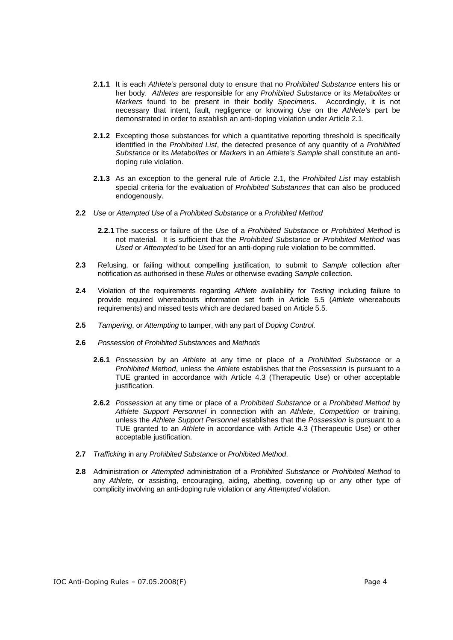- **2.1.1** It is each Athlete's personal duty to ensure that no Prohibited Substance enters his or her body. Athletes are responsible for any Prohibited Substance or its Metabolites or Markers found to be present in their bodily Specimens. Accordingly, it is not necessary that intent, fault, negligence or knowing Use on the Athlete's part be demonstrated in order to establish an anti-doping violation under Article 2.1.
- **2.1.2** Excepting those substances for which a quantitative reporting threshold is specifically identified in the Prohibited List, the detected presence of any quantity of a Prohibited Substance or its Metabolites or Markers in an Athlete's Sample shall constitute an antidoping rule violation.
- **2.1.3** As an exception to the general rule of Article 2.1, the Prohibited List may establish special criteria for the evaluation of Prohibited Substances that can also be produced endogenously.
- **2.2** Use or Attempted Use of a Prohibited Substance or a Prohibited Method
	- **2.2.1** The success or failure of the Use of a Prohibited Substance or Prohibited Method is not material. It is sufficient that the Prohibited Substance or Prohibited Method was Used or Attempted to be Used for an anti-doping rule violation to be committed.
- 2.3 Refusing, or failing without compelling justification, to submit to Sample collection after notification as authorised in these Rules or otherwise evading Sample collection.
- **2.4** Violation of the requirements regarding Athlete availability for Testing including failure to provide required whereabouts information set forth in Article 5.5 (Athlete whereabouts requirements) and missed tests which are declared based on Article 5.5.
- **2.5** Tampering, or Attempting to tamper, with any part of Doping Control.
- **2.6** Possession of Prohibited Substances and Methods
	- **2.6.1** Possession by an Athlete at any time or place of a Prohibited Substance or a Prohibited Method, unless the Athlete establishes that the Possession is pursuant to a TUE granted in accordance with Article 4.3 (Therapeutic Use) or other acceptable justification.
	- **2.6.2** Possession at any time or place of a Prohibited Substance or a Prohibited Method by Athlete Support Personnel in connection with an Athlete, Competition or training, unless the Athlete Support Personnel establishes that the Possession is pursuant to a TUE granted to an Athlete in accordance with Article 4.3 (Therapeutic Use) or other acceptable justification.
- **2.7** Trafficking in any Prohibited Substance or Prohibited Method.
- **2.8** Administration or Attempted administration of a Prohibited Substance or Prohibited Method to any Athlete, or assisting, encouraging, aiding, abetting, covering up or any other type of complicity involving an anti-doping rule violation or any Attempted violation.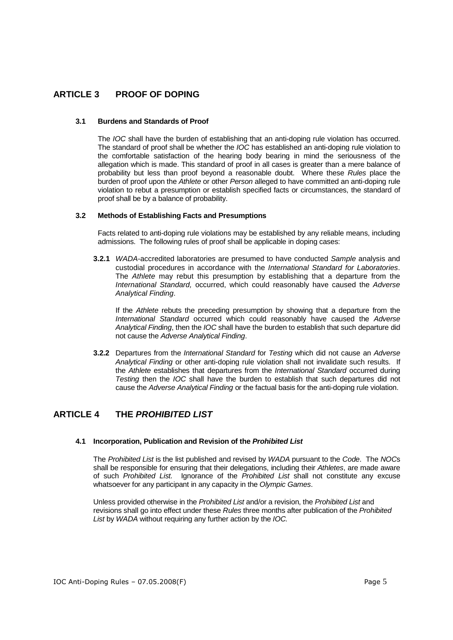### **ARTICLE 3 PROOF OF DOPING**

#### **3.1 Burdens and Standards of Proof**

The IOC shall have the burden of establishing that an anti-doping rule violation has occurred. The standard of proof shall be whether the IOC has established an anti-doping rule violation to the comfortable satisfaction of the hearing body bearing in mind the seriousness of the allegation which is made. This standard of proof in all cases is greater than a mere balance of probability but less than proof beyond a reasonable doubt. Where these Rules place the burden of proof upon the Athlete or other Person alleged to have committed an anti-doping rule violation to rebut a presumption or establish specified facts or circumstances, the standard of proof shall be by a balance of probability.

#### **3.2 Methods of Establishing Facts and Presumptions**

Facts related to anti-doping rule violations may be established by any reliable means, including admissions. The following rules of proof shall be applicable in doping cases:

**3.2.1** WADA-accredited laboratories are presumed to have conducted Sample analysis and custodial procedures in accordance with the International Standard for Laboratories. The Athlete may rebut this presumption by establishing that a departure from the International Standard, occurred, which could reasonably have caused the Adverse Analytical Finding.

If the Athlete rebuts the preceding presumption by showing that a departure from the International Standard occurred which could reasonably have caused the Adverse Analytical Finding, then the IOC shall have the burden to establish that such departure did not cause the Adverse Analytical Finding.

**3.2.2** Departures from the International Standard for Testing which did not cause an Adverse Analytical Finding or other anti-doping rule violation shall not invalidate such results. If the Athlete establishes that departures from the International Standard occurred during Testing then the IOC shall have the burden to establish that such departures did not cause the Adverse Analytical Finding or the factual basis for the anti-doping rule violation.

### **ARTICLE 4 THE PROHIBITED LIST**

### **4.1 Incorporation, Publication and Revision of the Prohibited List**

The Prohibited List is the list published and revised by WADA pursuant to the Code. The NOCs shall be responsible for ensuring that their delegations, including their Athletes, are made aware of such Prohibited List. Ignorance of the Prohibited List shall not constitute any excuse whatsoever for any participant in any capacity in the Olympic Games.

Unless provided otherwise in the Prohibited List and/or a revision, the Prohibited List and revisions shall go into effect under these Rules three months after publication of the Prohibited List by WADA without requiring any further action by the IOC.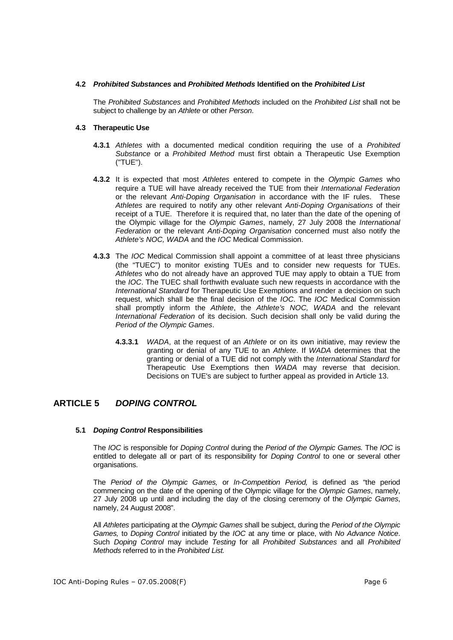#### **4.2 Prohibited Substances and Prohibited Methods Identified on the Prohibited List**

The Prohibited Substances and Prohibited Methods included on the Prohibited List shall not be subject to challenge by an Athlete or other Person.

#### **4.3 Therapeutic Use**

- **4.3.1** Athletes with a documented medical condition requiring the use of a Prohibited Substance or a Prohibited Method must first obtain a Therapeutic Use Exemption ("TUE").
- **4.3.2** It is expected that most Athletes entered to compete in the Olympic Games who require a TUE will have already received the TUE from their International Federation or the relevant Anti-Doping Organisation in accordance with the IF rules. These Athletes are required to notify any other relevant Anti-Doping Organisations of their receipt of a TUE. Therefore it is required that, no later than the date of the opening of the Olympic village for the Olympic Games, namely, 27 July 2008 the International Federation or the relevant Anti-Doping Organisation concerned must also notify the Athlete's NOC, WADA and the IOC Medical Commission.
- **4.3.3** The IOC Medical Commission shall appoint a committee of at least three physicians (the "TUEC") to monitor existing TUEs and to consider new requests for TUEs. Athletes who do not already have an approved TUE may apply to obtain a TUE from the IOC. The TUEC shall forthwith evaluate such new requests in accordance with the International Standard for Therapeutic Use Exemptions and render a decision on such request, which shall be the final decision of the IOC. The IOC Medical Commission shall promptly inform the Athlete, the Athlete's NOC, WADA and the relevant International Federation of its decision. Such decision shall only be valid during the Period of the Olympic Games.
	- **4.3.3.1** WADA, at the request of an Athlete or on its own initiative, may review the granting or denial of any TUE to an Athlete. If WADA determines that the granting or denial of a TUE did not comply with the International Standard for Therapeutic Use Exemptions then WADA may reverse that decision. Decisions on TUE's are subject to further appeal as provided in Article 13.

### **ARTICLE 5 DOPING CONTROL**

#### **5.1 Doping Control Responsibilities**

The IOC is responsible for Doping Control during the Period of the Olympic Games. The IOC is entitled to delegate all or part of its responsibility for Doping Control to one or several other organisations.

The Period of the Olympic Games, or In-Competition Period, is defined as "the period commencing on the date of the opening of the Olympic village for the Olympic Games, namely, 27 July 2008 up until and including the day of the closing ceremony of the Olympic Games. namely, 24 August 2008".

All Athletes participating at the Olympic Games shall be subject, during the Period of the Olympic Games, to Doping Control initiated by the IOC at any time or place, with No Advance Notice. Such Doping Control may include Testing for all Prohibited Substances and all Prohibited Methods referred to in the Prohibited List.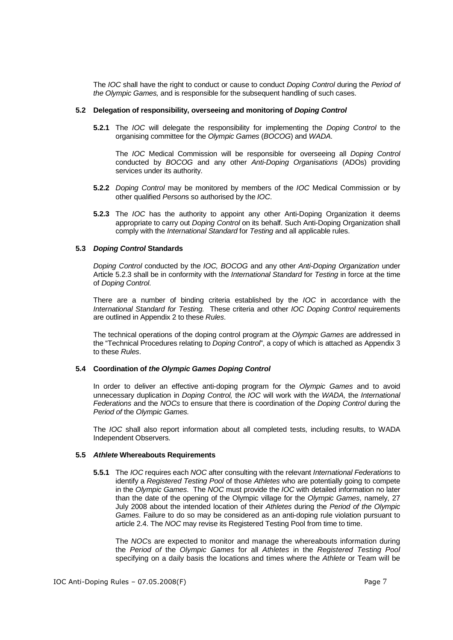The IOC shall have the right to conduct or cause to conduct Doping Control during the Period of the Olympic Games, and is responsible for the subsequent handling of such cases.

#### **5.2 Delegation of responsibility, overseeing and monitoring of Doping Control**

**5.2.1** The IOC will delegate the responsibility for implementing the Doping Control to the organising committee for the Olympic Games (BOCOG) and WADA.

The IOC Medical Commission will be responsible for overseeing all Doping Control conducted by BOCOG and any other Anti-Doping Organisations (ADOs) providing services under its authority.

- **5.2.2** Doping Control may be monitored by members of the IOC Medical Commission or by other qualified Persons so authorised by the IOC.
- **5.2.3** The IOC has the authority to appoint any other Anti-Doping Organization it deems appropriate to carry out *Doping Control* on its behalf. Such Anti-Doping Organization shall comply with the *International Standard* for Testing and all applicable rules.

#### **5.3 Doping Control Standards**

Doping Control conducted by the IOC, BOCOG and any other Anti-Doping Organization under Article 5.2.3 shall be in conformity with the International Standard for Testing in force at the time of Doping Control.

There are a number of binding criteria established by the IOC in accordance with the International Standard for Testing. These criteria and other IOC Doping Control requirements are outlined in Appendix 2 to these Rules.

The technical operations of the doping control program at the Olympic Games are addressed in the "Technical Procedures relating to Doping Control", a copy of which is attached as Appendix 3 to these Rules.

#### **5.4 Coordination of the Olympic Games Doping Control**

In order to deliver an effective anti-doping program for the Olympic Games and to avoid unnecessary duplication in *Doping Control*, the *IOC* will work with the *WADA*, the *International* Federations and the NOCs to ensure that there is coordination of the Doping Control during the Period of the Olympic Games.

The IOC shall also report information about all completed tests, including results, to WADA Independent Observers.

#### **5.5 Athlete Whereabouts Requirements**

**5.5.1** The IOC requires each NOC after consulting with the relevant International Federations to identify a Registered Testing Pool of those Athletes who are potentially going to compete in the Olympic Games. The NOC must provide the IOC with detailed information no later than the date of the opening of the Olympic village for the Olympic Games, namely, 27 July 2008 about the intended location of their Athletes during the Period of the Olympic Games. Failure to do so may be considered as an anti-doping rule violation pursuant to article 2.4. The NOC may revise its Registered Testing Pool from time to time.

The NOCs are expected to monitor and manage the whereabouts information during the Period of the Olympic Games for all Athletes in the Registered Testing Pool specifying on a daily basis the locations and times where the Athlete or Team will be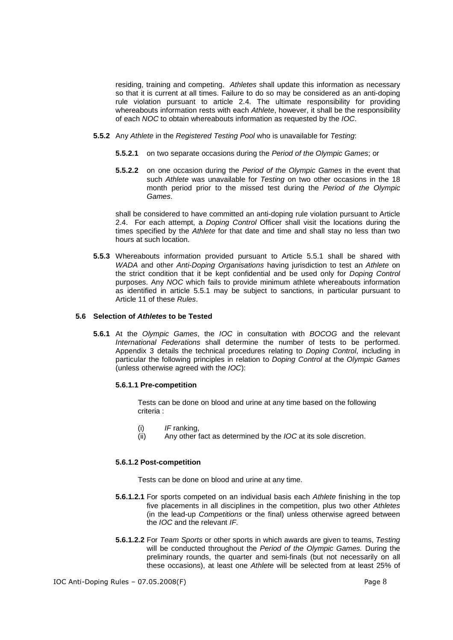residing, training and competing. Athletes shall update this information as necessary so that it is current at all times. Failure to do so may be considered as an anti-doping rule violation pursuant to article 2.4. The ultimate responsibility for providing whereabouts information rests with each Athlete, however, it shall be the responsibility of each NOC to obtain whereabouts information as requested by the IOC.

- **5.5.2** Any Athlete in the Registered Testing Pool who is unavailable for Testing:
	- **5.5.2.1** on two separate occasions during the Period of the Olympic Games; or
	- **5.5.2.2** on one occasion during the Period of the Olympic Games in the event that such Athlete was unavailable for Testing on two other occasions in the 18 month period prior to the missed test during the Period of the Olympic Games.

shall be considered to have committed an anti-doping rule violation pursuant to Article 2.4. For each attempt, a Doping Control Officer shall visit the locations during the times specified by the Athlete for that date and time and shall stay no less than two hours at such location.

**5.5.3** Whereabouts information provided pursuant to Article 5.5.1 shall be shared with WADA and other Anti-Doping Organisations having jurisdiction to test an Athlete on the strict condition that it be kept confidential and be used only for Doping Control purposes. Any NOC which fails to provide minimum athlete whereabouts information as identified in article 5.5.1 may be subject to sanctions, in particular pursuant to Article 11 of these Rules.

#### **5.6 Selection of Athletes to be Tested**

**5.6.1** At the Olympic Games, the IOC in consultation with BOCOG and the relevant International Federations shall determine the number of tests to be performed. Appendix 3 details the technical procedures relating to Doping Control, including in particular the following principles in relation to Doping Control at the Olympic Games (unless otherwise agreed with the IOC):

#### **5.6.1.1 Pre-competition**

Tests can be done on blood and urine at any time based on the following criteria :

- $(i)$  IF ranking,
- (ii) Any other fact as determined by the IOC at its sole discretion.

#### **5.6.1.2 Post-competition**

Tests can be done on blood and urine at any time.

- **5.6.1.2.1** For sports competed on an individual basis each *Athlete* finishing in the top five placements in all disciplines in the competition, plus two other Athletes (in the lead-up Competitions or the final) unless otherwise agreed between the IOC and the relevant IF.
- **5.6.1.2.2** For Team Sports or other sports in which awards are given to teams, Testing will be conducted throughout the Period of the Olympic Games. During the preliminary rounds, the quarter and semi-finals (but not necessarily on all these occasions), at least one Athlete will be selected from at least 25% of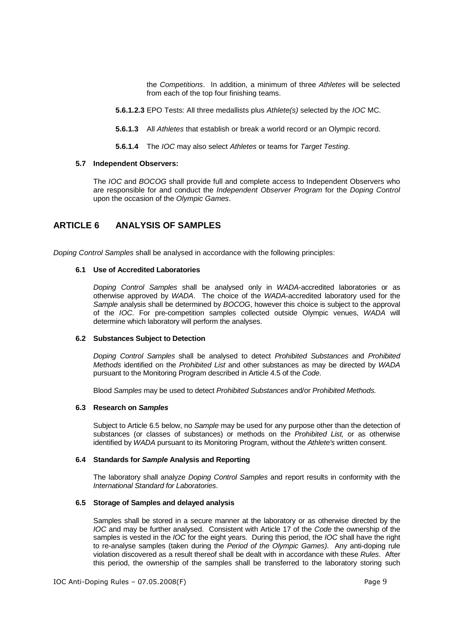the Competitions. In addition, a minimum of three Athletes will be selected from each of the top four finishing teams.

- **5.6.1.2.3** EPO Tests: All three medallists plus Athlete(s) selected by the IOC MC.
- **5.6.1.3** All Athletes that establish or break a world record or an Olympic record.
- **5.6.1.4** The IOC may also select Athletes or teams for Target Testing.

#### **5.7 Independent Observers:**

The IOC and BOCOG shall provide full and complete access to Independent Observers who are responsible for and conduct the Independent Observer Program for the Doping Control upon the occasion of the Olympic Games.

### **ARTICLE 6 ANALYSIS OF SAMPLES**

Doping Control Samples shall be analysed in accordance with the following principles:

#### **6.1 Use of Accredited Laboratories**

Doping Control Samples shall be analysed only in WADA-accredited laboratories or as otherwise approved by WADA. The choice of the WADA-accredited laboratory used for the Sample analysis shall be determined by BOCOG, however this choice is subject to the approval of the IOC. For pre-competition samples collected outside Olympic venues, WADA will determine which laboratory will perform the analyses.

#### **6.2 Substances Subject to Detection**

Doping Control Samples shall be analysed to detect Prohibited Substances and Prohibited Methods identified on the Prohibited List and other substances as may be directed by WADA pursuant to the Monitoring Program described in Article 4.5 of the Code.

Blood Samples may be used to detect Prohibited Substances and/or Prohibited Methods.

#### **6.3 Research on Samples**

Subject to Article 6.5 below, no Sample may be used for any purpose other than the detection of substances (or classes of substances) or methods on the Prohibited List, or as otherwise identified by WADA pursuant to its Monitoring Program, without the Athlete's written consent.

#### **6.4 Standards for Sample Analysis and Reporting**

The laboratory shall analyze Doping Control Samples and report results in conformity with the International Standard for Laboratories.

#### **6.5 Storage of Samples and delayed analysis**

Samples shall be stored in a secure manner at the laboratory or as otherwise directed by the IOC and may be further analysed. Consistent with Article 17 of the Code the ownership of the samples is vested in the *IOC* for the eight years. During this period, the *IOC* shall have the right to re-analyse samples (taken during the Period of the Olympic Games). Any anti-doping rule violation discovered as a result thereof shall be dealt with in accordance with these Rules. After this period, the ownership of the samples shall be transferred to the laboratory storing such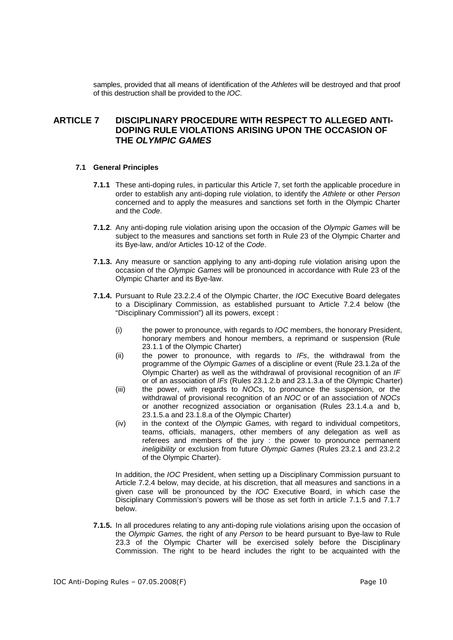samples, provided that all means of identification of the Athletes will be destroyed and that proof of this destruction shall be provided to the IOC.

### **ARTICLE 7 DISCIPLINARY PROCEDURE WITH RESPECT TO ALLEGED ANTI-DOPING RULE VIOLATIONS ARISING UPON THE OCCASION OF THE OLYMPIC GAMES**

#### **7.1 General Principles**

- **7.1.1** These anti-doping rules, in particular this Article 7, set forth the applicable procedure in order to establish any anti-doping rule violation, to identify the Athlete or other Person concerned and to apply the measures and sanctions set forth in the Olympic Charter and the Code.
- **7.1.2**. Any anti-doping rule violation arising upon the occasion of the Olympic Games will be subject to the measures and sanctions set forth in Rule 23 of the Olympic Charter and its Bye-law, and/or Articles 10-12 of the Code.
- **7.1.3.** Any measure or sanction applying to any anti-doping rule violation arising upon the occasion of the Olympic Games will be pronounced in accordance with Rule 23 of the Olympic Charter and its Bye-law.
- **7.1.4.** Pursuant to Rule 23.2.2.4 of the Olympic Charter, the IOC Executive Board delegates to a Disciplinary Commission, as established pursuant to Article 7.2.4 below (the "Disciplinary Commission") all its powers, except :
	- (i) the power to pronounce, with regards to IOC members, the honorary President, honorary members and honour members, a reprimand or suspension (Rule 23.1.1 of the Olympic Charter)
	- (ii) the power to pronounce, with regards to  $IFs$ , the withdrawal from the programme of the Olympic Games of a discipline or event (Rule 23.1.2a of the Olympic Charter) as well as the withdrawal of provisional recognition of an IF or of an association of IFs (Rules 23.1.2.b and 23.1.3.a of the Olympic Charter)
	- (iii) the power, with regards to NOCs, to pronounce the suspension, or the withdrawal of provisional recognition of an NOC or of an association of NOCs or another recognized association or organisation (Rules 23.1.4.a and b, 23.1.5.a and 23.1.8.a of the Olympic Charter)
	- (iv) in the context of the Olympic Games, with regard to individual competitors, teams, officials, managers, other members of any delegation as well as referees and members of the jury : the power to pronounce permanent ineligibility or exclusion from future Olympic Games (Rules 23.2.1 and 23.2.2 of the Olympic Charter).

In addition, the IOC President, when setting up a Disciplinary Commission pursuant to Article 7.2.4 below, may decide, at his discretion, that all measures and sanctions in a given case will be pronounced by the IOC Executive Board, in which case the Disciplinary Commission's powers will be those as set forth in article 7.1.5 and 7.1.7 below.

**7.1.5.** In all procedures relating to any anti-doping rule violations arising upon the occasion of the Olympic Games, the right of any Person to be heard pursuant to Bye-law to Rule 23.3 of the Olympic Charter will be exercised solely before the Disciplinary Commission. The right to be heard includes the right to be acquainted with the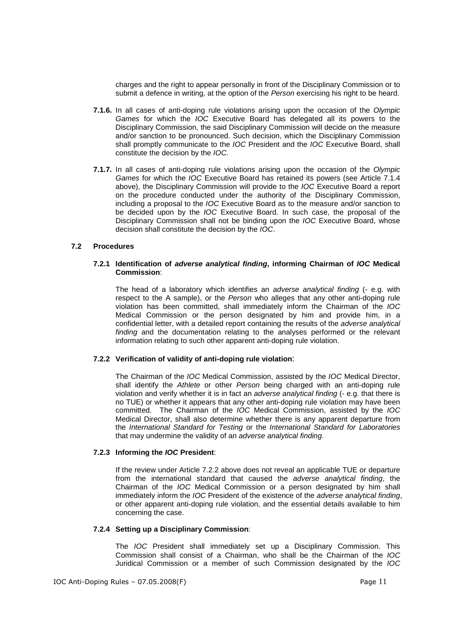charges and the right to appear personally in front of the Disciplinary Commission or to submit a defence in writing, at the option of the Person exercising his right to be heard.

- **7.1.6.** In all cases of anti-doping rule violations arising upon the occasion of the Olympic Games for which the IOC Executive Board has delegated all its powers to the Disciplinary Commission, the said Disciplinary Commission will decide on the measure and/or sanction to be pronounced. Such decision, which the Disciplinary Commission shall promptly communicate to the IOC President and the IOC Executive Board, shall constitute the decision by the IOC.
- **7.1.7.** In all cases of anti-doping rule violations arising upon the occasion of the Olympic Games for which the IOC Executive Board has retained its powers (see Article 7.1.4 above), the Disciplinary Commission will provide to the IOC Executive Board a report on the procedure conducted under the authority of the Disciplinary Commission, including a proposal to the IOC Executive Board as to the measure and/or sanction to be decided upon by the IOC Executive Board. In such case, the proposal of the Disciplinary Commission shall not be binding upon the IOC Executive Board, whose decision shall constitute the decision by the IOC.

#### **7.2 Procedures**

#### **7.2.1 Identification of adverse analytical finding, informing Chairman of IOC Medical Commission**:

The head of a laboratory which identifies an *adverse analytical finding* (- e.g. with respect to the A sample), or the Person who alleges that any other anti-doping rule violation has been committed, shall immediately inform the Chairman of the IOC Medical Commission or the person designated by him and provide him, in a confidential letter, with a detailed report containing the results of the adverse analytical finding and the documentation relating to the analyses performed or the relevant information relating to such other apparent anti-doping rule violation.

#### **7.2.2 Verification of validity of anti-doping rule violation**:

The Chairman of the IOC Medical Commission, assisted by the IOC Medical Director, shall identify the Athlete or other Person being charged with an anti-doping rule violation and verify whether it is in fact an adverse analytical finding (- e.g. that there is no TUE) or whether it appears that any other anti-doping rule violation may have been committed. The Chairman of the IOC Medical Commission, assisted by the IOC Medical Director, shall also determine whether there is any apparent departure from the International Standard for Testing or the International Standard for Laboratories that may undermine the validity of an adverse analytical finding.

#### **7.2.3 Informing the IOC President**:

If the review under Article 7.2.2 above does not reveal an applicable TUE or departure from the international standard that caused the adverse analytical finding, the Chairman of the IOC Medical Commission or a person designated by him shall immediately inform the IOC President of the existence of the adverse analytical finding, or other apparent anti-doping rule violation, and the essential details available to him concerning the case.

#### **7.2.4 Setting up a Disciplinary Commission**:

The IOC President shall immediately set up a Disciplinary Commission. This Commission shall consist of a Chairman, who shall be the Chairman of the IOC Juridical Commission or a member of such Commission designated by the IOC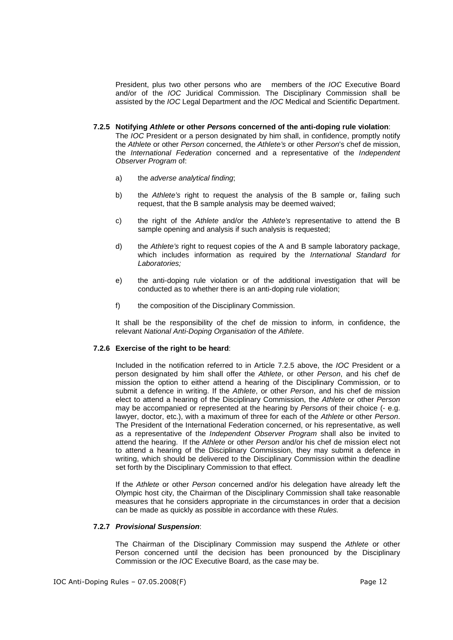President, plus two other persons who are members of the IOC Executive Board and/or of the IOC Juridical Commission. The Disciplinary Commission shall be assisted by the IOC Legal Department and the IOC Medical and Scientific Department.

#### **7.2.5 Notifying Athlete or other Persons concerned of the anti-doping rule violation**:

The IOC President or a person designated by him shall, in confidence, promptly notify the Athlete or other Person concerned, the Athlete's or other Person's chef de mission, the International Federation concerned and a representative of the Independent Observer Program of:

- a) the adverse analytical finding;
- b) the Athlete's right to request the analysis of the B sample or, failing such request, that the B sample analysis may be deemed waived;
- c) the right of the Athlete and/or the Athlete's representative to attend the B sample opening and analysis if such analysis is requested;
- d) the Athlete's right to request copies of the A and B sample laboratory package, which includes information as required by the International Standard for Laboratories;
- e) the anti-doping rule violation or of the additional investigation that will be conducted as to whether there is an anti-doping rule violation;
- f) the composition of the Disciplinary Commission.

It shall be the responsibility of the chef de mission to inform, in confidence, the relevant National Anti-Doping Organisation of the Athlete.

#### **7.2.6 Exercise of the right to be heard**:

Included in the notification referred to in Article 7.2.5 above, the IOC President or a person designated by him shall offer the Athlete, or other Person, and his chef de mission the option to either attend a hearing of the Disciplinary Commission, or to submit a defence in writing. If the Athlete, or other Person, and his chef de mission elect to attend a hearing of the Disciplinary Commission, the Athlete or other Person may be accompanied or represented at the hearing by Persons of their choice (- e.g. lawyer, doctor, etc.), with a maximum of three for each of the Athlete or other Person. The President of the International Federation concerned, or his representative, as well as a representative of the Independent Observer Program shall also be invited to attend the hearing. If the Athlete or other Person and/or his chef de mission elect not to attend a hearing of the Disciplinary Commission, they may submit a defence in writing, which should be delivered to the Disciplinary Commission within the deadline set forth by the Disciplinary Commission to that effect.

If the Athlete or other Person concerned and/or his delegation have already left the Olympic host city, the Chairman of the Disciplinary Commission shall take reasonable measures that he considers appropriate in the circumstances in order that a decision can be made as quickly as possible in accordance with these Rules.

#### **7.2.7 Provisional Suspension**:

The Chairman of the Disciplinary Commission may suspend the Athlete or other Person concerned until the decision has been pronounced by the Disciplinary Commission or the IOC Executive Board, as the case may be.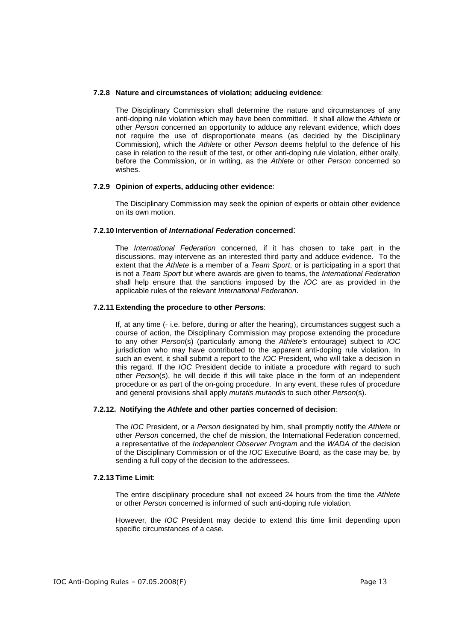#### **7.2.8 Nature and circumstances of violation; adducing evidence**:

The Disciplinary Commission shall determine the nature and circumstances of any anti-doping rule violation which may have been committed. It shall allow the Athlete or other Person concerned an opportunity to adduce any relevant evidence, which does not require the use of disproportionate means (as decided by the Disciplinary Commission), which the Athlete or other Person deems helpful to the defence of his case in relation to the result of the test, or other anti-doping rule violation, either orally, before the Commission, or in writing, as the Athlete or other Person concerned so wishes.

#### **7.2.9 Opinion of experts, adducing other evidence**:

The Disciplinary Commission may seek the opinion of experts or obtain other evidence on its own motion.

#### **7.2.10 Intervention of International Federation concerned**:

The International Federation concerned, if it has chosen to take part in the discussions, may intervene as an interested third party and adduce evidence. To the extent that the Athlete is a member of a Team Sport, or is participating in a sport that is not a Team Sport but where awards are given to teams, the International Federation shall help ensure that the sanctions imposed by the IOC are as provided in the applicable rules of the relevant International Federation.

#### **7.2.11 Extending the procedure to other Persons**:

If, at any time (- i.e. before, during or after the hearing), circumstances suggest such a course of action, the Disciplinary Commission may propose extending the procedure to any other Person(s) (particularly among the Athlete's entourage) subject to IOC jurisdiction who may have contributed to the apparent anti-doping rule violation. In such an event, it shall submit a report to the IOC President, who will take a decision in this regard. If the IOC President decide to initiate a procedure with regard to such other Person(s), he will decide if this will take place in the form of an independent procedure or as part of the on-going procedure. In any event, these rules of procedure and general provisions shall apply mutatis mutandis to such other Person(s).

#### **7.2.12. Notifying the Athlete and other parties concerned of decision**:

The *IOC* President, or a *Person* designated by him, shall promptly notify the *Athlete* or other Person concerned, the chef de mission, the International Federation concerned, a representative of the Independent Observer Program and the WADA of the decision of the Disciplinary Commission or of the IOC Executive Board, as the case may be, by sending a full copy of the decision to the addressees.

#### **7.2.13 Time Limit**:

The entire disciplinary procedure shall not exceed 24 hours from the time the Athlete or other Person concerned is informed of such anti-doping rule violation.

However, the IOC President may decide to extend this time limit depending upon specific circumstances of a case.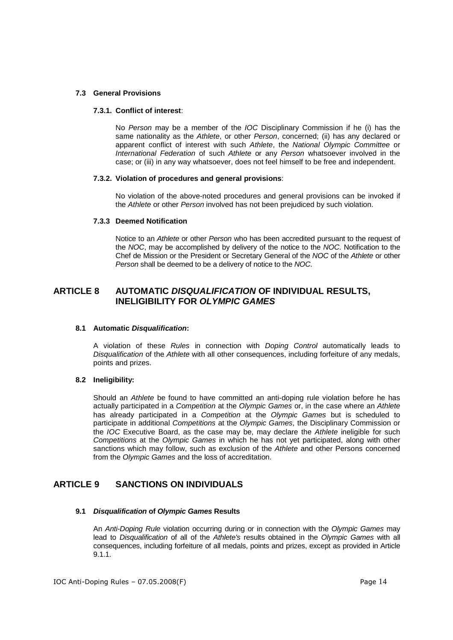#### **7.3 General Provisions**

#### **7.3.1. Conflict of interest**:

No Person may be a member of the IOC Disciplinary Commission if he (i) has the same nationality as the Athlete, or other Person, concerned; (ii) has any declared or apparent conflict of interest with such Athlete, the National Olympic Committee or International Federation of such Athlete or any Person whatsoever involved in the case; or (iii) in any way whatsoever, does not feel himself to be free and independent.

#### **7.3.2. Violation of procedures and general provisions**:

No violation of the above-noted procedures and general provisions can be invoked if the Athlete or other Person involved has not been prejudiced by such violation.

#### **7.3.3 Deemed Notification**

Notice to an Athlete or other Person who has been accredited pursuant to the request of the NOC, may be accomplished by delivery of the notice to the NOC. Notification to the Chef de Mission or the President or Secretary General of the NOC of the Athlete or other Person shall be deemed to be a delivery of notice to the NOC.

### **ARTICLE 8 AUTOMATIC DISQUALIFICATION OF INDIVIDUAL RESULTS, INELIGIBILITY FOR OLYMPIC GAMES**

#### **8.1 Automatic Disqualification:**

A violation of these Rules in connection with Doping Control automatically leads to Disqualification of the Athlete with all other consequences, including forfeiture of any medals, points and prizes.

#### **8.2 Ineligibility:**

Should an Athlete be found to have committed an anti-doping rule violation before he has actually participated in a Competition at the Olympic Games or, in the case where an Athlete has already participated in a Competition at the Olympic Games but is scheduled to participate in additional Competitions at the Olympic Games, the Disciplinary Commission or the IOC Executive Board, as the case may be, may declare the Athlete ineligible for such Competitions at the Olympic Games in which he has not yet participated, along with other sanctions which may follow, such as exclusion of the Athlete and other Persons concerned from the Olympic Games and the loss of accreditation.

### **ARTICLE 9 SANCTIONS ON INDIVIDUALS**

#### **9.1 Disqualification of Olympic Games Results**

An Anti-Doping Rule violation occurring during or in connection with the Olympic Games may lead to Disqualification of all of the Athlete's results obtained in the Olympic Games with all consequences, including forfeiture of all medals, points and prizes, except as provided in Article 9.1.1.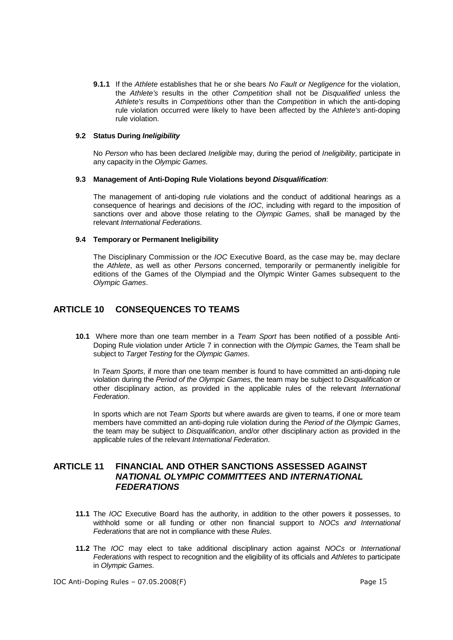**9.1.1** If the Athlete establishes that he or she bears No Fault or Negligence for the violation, the Athlete's results in the other Competition shall not be Disqualified unless the Athlete's results in Competitions other than the Competition in which the anti-doping rule violation occurred were likely to have been affected by the Athlete's anti-doping rule violation.

#### **9.2 Status During Ineligibility**

No Person who has been declared *Ineligible* may, during the period of *Ineligibility*, participate in any capacity in the Olympic Games.

#### **9.3 Management of Anti-Doping Rule Violations beyond Disqualification**:

The management of anti-doping rule violations and the conduct of additional hearings as a consequence of hearings and decisions of the IOC, including with regard to the imposition of sanctions over and above those relating to the Olympic Games, shall be managed by the relevant International Federations.

#### **9.4 Temporary or Permanent Ineligibility**

The Disciplinary Commission or the IOC Executive Board, as the case may be, may declare the Athlete, as well as other Persons concerned, temporarily or permanently ineligible for editions of the Games of the Olympiad and the Olympic Winter Games subsequent to the Olympic Games.

### **ARTICLE 10 CONSEQUENCES TO TEAMS**

**10.1** Where more than one team member in a Team Sport has been notified of a possible Anti-Doping Rule violation under Article 7 in connection with the Olympic Games, the Team shall be subject to Target Testing for the Olympic Games.

In Team Sports, if more than one team member is found to have committed an anti-doping rule violation during the Period of the Olympic Games, the team may be subject to Disqualification or other disciplinary action, as provided in the applicable rules of the relevant International Federation.

In sports which are not Team Sports but where awards are given to teams, if one or more team members have committed an anti-doping rule violation during the Period of the Olympic Games, the team may be subject to *Disqualification*, and/or other disciplinary action as provided in the applicable rules of the relevant International Federation.

### **ARTICLE 11 FINANCIAL AND OTHER SANCTIONS ASSESSED AGAINST NATIONAL OLYMPIC COMMITTEES AND INTERNATIONAL FEDERATIONS**

- **11.1** The IOC Executive Board has the authority, in addition to the other powers it possesses, to withhold some or all funding or other non financial support to NOCs and International Federations that are not in compliance with these Rules.
- **11.2** The IOC may elect to take additional disciplinary action against NOCs or International Federations with respect to recognition and the eligibility of its officials and Athletes to participate in Olympic Games.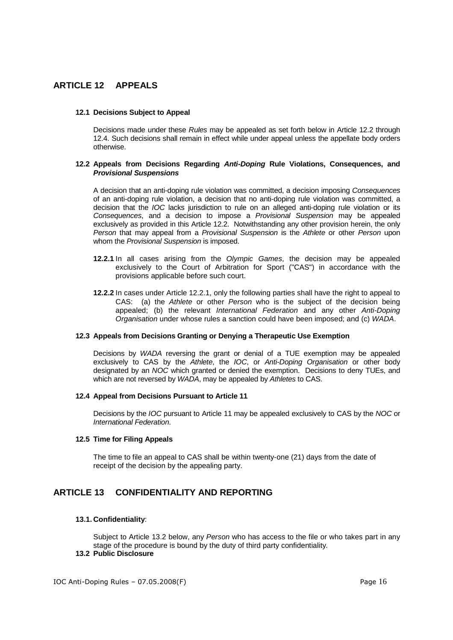### **ARTICLE 12 APPEALS**

#### **12.1 Decisions Subject to Appeal**

Decisions made under these Rules may be appealed as set forth below in Article 12.2 through 12.4. Such decisions shall remain in effect while under appeal unless the appellate body orders otherwise.

#### **12.2 Appeals from Decisions Regarding Anti-Doping Rule Violations, Consequences, and Provisional Suspensions**

A decision that an anti-doping rule violation was committed, a decision imposing Consequences of an anti-doping rule violation, a decision that no anti-doping rule violation was committed, a decision that the IOC lacks jurisdiction to rule on an alleged anti-doping rule violation or its Consequences, and a decision to impose a *Provisional Suspension* may be appealed exclusively as provided in this Article 12.2. Notwithstanding any other provision herein, the only Person that may appeal from a Provisional Suspension is the Athlete or other Person upon whom the Provisional Suspension is imposed.

- **12.2.1** In all cases arising from the Olympic Games, the decision may be appealed exclusively to the Court of Arbitration for Sport ("CAS") in accordance with the provisions applicable before such court.
- **12.2.2** In cases under Article 12.2.1, only the following parties shall have the right to appeal to CAS: (a) the Athlete or other Person who is the subject of the decision being appealed; (b) the relevant International Federation and any other Anti-Doping Organisation under whose rules a sanction could have been imposed; and (c) WADA.

#### **12.3 Appeals from Decisions Granting or Denying a Therapeutic Use Exemption**

Decisions by WADA reversing the grant or denial of a TUE exemption may be appealed exclusively to CAS by the Athlete, the *IOC*, or Anti-Doping Organisation or other body designated by an NOC which granted or denied the exemption. Decisions to deny TUEs, and which are not reversed by WADA, may be appealed by Athletes to CAS.

#### **12.4 Appeal from Decisions Pursuant to Article 11**

Decisions by the IOC pursuant to Article 11 may be appealed exclusively to CAS by the NOC or International Federation.

#### **12.5 Time for Filing Appeals**

The time to file an appeal to CAS shall be within twenty-one (21) days from the date of receipt of the decision by the appealing party.

### **ARTICLE 13 CONFIDENTIALITY AND REPORTING**

#### **13.1. Confidentiality**:

Subject to Article 13.2 below, any Person who has access to the file or who takes part in any stage of the procedure is bound by the duty of third party confidentiality.

### **13.2 Public Disclosure**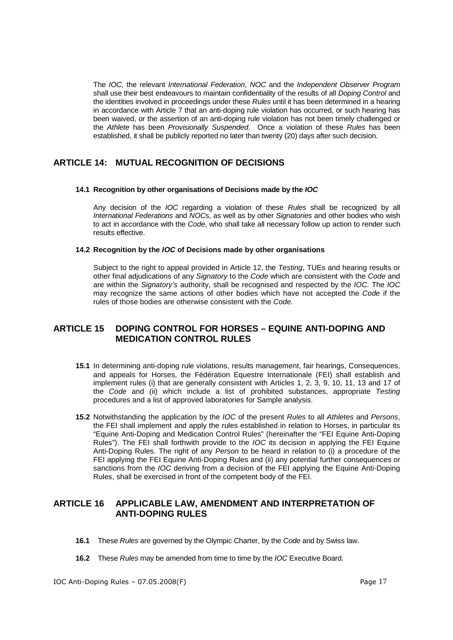The IOC, the relevant International Federation, NOC and the Independent Observer Program shall use their best endeavours to maintain confidentiality of the results of all Doping Control and the identities involved in proceedings under these Rules until it has been determined in a hearing in accordance with Article 7 that an anti-doping rule violation has occurred, or such hearing has been waived, or the assertion of an anti-doping rule violation has not been timely challenged or the Athlete has been Provisionally Suspended. Once a violation of these Rules has been established, it shall be publicly reported no later than twenty (20) days after such decision.

### **ARTICLE 14: MUTUAL RECOGNITION OF DECISIONS**

#### **14.1 Recognition by other organisations of Decisions made by the IOC**

Any decision of the IOC regarding a violation of these Rules shall be recognized by all International Federations and NOCs, as well as by other Signatories and other bodies who wish to act in accordance with the Code, who shall take all necessary follow up action to render such results effective.

#### **14.2 Recognition by the IOC of Decisions made by other organisations**

Subject to the right to appeal provided in Article 12, the Testing, TUEs and hearing results or other final adjudications of any Signatory to the Code which are consistent with the Code and are within the Signatory's authority, shall be recognised and respected by the IOC. The IOC may recognize the same actions of other bodies which have not accepted the Code if the rules of those bodies are otherwise consistent with the Code.

### **ARTICLE 15 DOPING CONTROL FOR HORSES – EQUINE ANTI-DOPING AND MEDICATION CONTROL RULES**

- **15.1** In determining anti-doping rule violations, results management, fair hearings, Consequences, and appeals for Horses, the Fédération Equestre Internationale (FEI) shall establish and implement rules (i) that are generally consistent with Articles 1, 2, 3, 9, 10, 11, 13 and 17 of the Code and (ii) which include a list of prohibited substances, appropriate Testing procedures and a list of approved laboratories for Sample analysis.
- **15.2** Notwithstanding the application by the IOC of the present Rules to all Athletes and Persons, the FEI shall implement and apply the rules established in relation to Horses, in particular its "Equine Anti-Doping and Medication Control Rules" (hereinafter the "FEI Equine Anti-Doping Rules"). The FEI shall forthwith provide to the *IOC* its decision in applying the FEI Equine Anti-Doping Rules. The right of any Person to be heard in relation to (i) a procedure of the FEI applying the FEI Equine Anti-Doping Rules and (ii) any potential further consequences or sanctions from the IOC deriving from a decision of the FEI applying the Equine Anti-Doping Rules, shall be exercised in front of the competent body of the FEI.

### **ARTICLE 16 APPLICABLE LAW, AMENDMENT AND INTERPRETATION OF ANTI-DOPING RULES**

- **16.1** These Rules are governed by the Olympic Charter, by the Code and by Swiss law.
- **16.2** These Rules may be amended from time to time by the IOC Executive Board.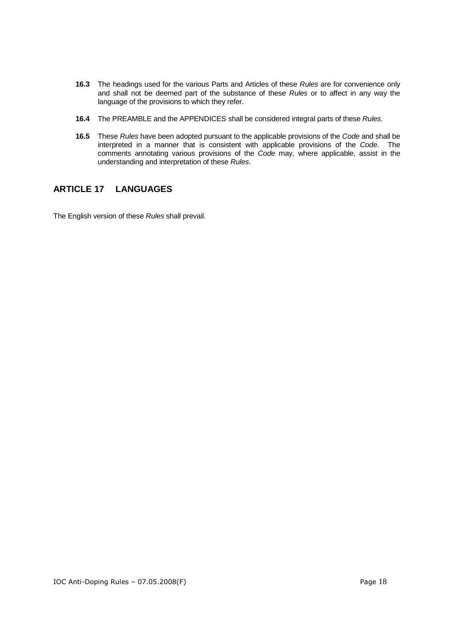- **16.3** The headings used for the various Parts and Articles of these Rules are for convenience only and shall not be deemed part of the substance of these Rules or to affect in any way the language of the provisions to which they refer.
- **16.4** The PREAMBLE and the APPENDICES shall be considered integral parts of these Rules.
- **16.5** These Rules have been adopted pursuant to the applicable provisions of the Code and shall be interpreted in a manner that is consistent with applicable provisions of the Code. The comments annotating various provisions of the Code may, where applicable, assist in the understanding and interpretation of these Rules.

### **ARTICLE 17 LANGUAGES**

The English version of these Rules shall prevail.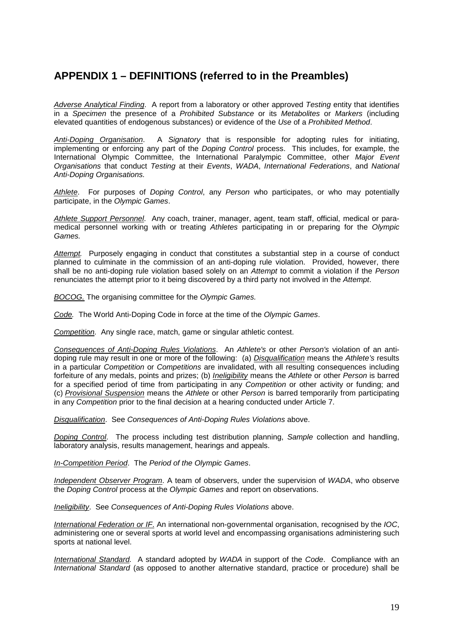# **APPENDIX 1 – DEFINITIONS (referred to in the Preambles)**

Adverse Analytical Finding. A report from a laboratory or other approved Testing entity that identifies in a Specimen the presence of a Prohibited Substance or its Metabolites or Markers (including elevated quantities of endogenous substances) or evidence of the Use of a Prohibited Method.

Anti-Doping Organisation. A Signatory that is responsible for adopting rules for initiating, implementing or enforcing any part of the Doping Control process. This includes, for example, the International Olympic Committee, the International Paralympic Committee, other Major Event Organisations that conduct Testing at their Events, WADA, International Federations, and National Anti-Doping Organisations.

Athlete. For purposes of Doping Control, any Person who participates, or who may potentially participate, in the Olympic Games.

Athlete Support Personnel. Any coach, trainer, manager, agent, team staff, official, medical or paramedical personnel working with or treating Athletes participating in or preparing for the Olympic Games.

Attempt. Purposely engaging in conduct that constitutes a substantial step in a course of conduct planned to culminate in the commission of an anti-doping rule violation. Provided, however, there shall be no anti-doping rule violation based solely on an Attempt to commit a violation if the Person renunciates the attempt prior to it being discovered by a third party not involved in the Attempt.

BOCOG. The organising committee for the Olympic Games.

Code. The World Anti-Doping Code in force at the time of the Olympic Games.

Competition. Any single race, match, game or singular athletic contest.

Consequences of Anti-Doping Rules Violations. An Athlete's or other Person's violation of an antidoping rule may result in one or more of the following: (a) Disqualification means the Athlete's results in a particular Competition or Competitions are invalidated, with all resulting consequences including forfeiture of any medals, points and prizes; (b) Ineligibility means the Athlete or other Person is barred for a specified period of time from participating in any Competition or other activity or funding; and (c) Provisional Suspension means the Athlete or other Person is barred temporarily from participating in any Competition prior to the final decision at a hearing conducted under Article 7.

Disqualification. See Consequences of Anti-Doping Rules Violations above.

Doping Control. The process including test distribution planning, Sample collection and handling, laboratory analysis, results management, hearings and appeals.

In-Competition Period. The Period of the Olympic Games.

Independent Observer Program. A team of observers, under the supervision of WADA, who observe the Doping Control process at the Olympic Games and report on observations.

Ineligibility. See Consequences of Anti-Doping Rules Violations above.

International Federation or IF. An international non-governmental organisation, recognised by the IOC, administering one or several sports at world level and encompassing organisations administering such sports at national level.

International Standard. A standard adopted by WADA in support of the Code. Compliance with an International Standard (as opposed to another alternative standard, practice or procedure) shall be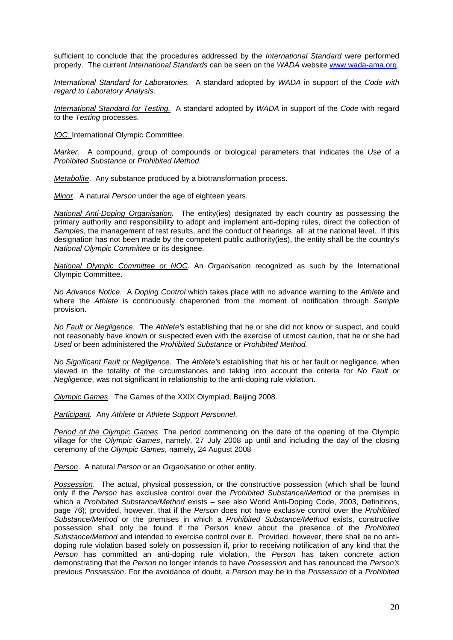sufficient to conclude that the procedures addressed by the *International Standard* were performed properly. The current International Standards can be seen on the WADA website www.wada-ama.org.

International Standard for Laboratories. A standard adopted by WADA in support of the Code with regard to Laboratory Analysis.

International Standard for Testing. A standard adopted by WADA in support of the Code with regard to the Testing processes.

IOC. International Olympic Committee.

Marker. A compound, group of compounds or biological parameters that indicates the Use of a Prohibited Substance or Prohibited Method.

Metabolite. Any substance produced by a biotransformation process.

Minor. A natural Person under the age of eighteen years.

National Anti-Doping Organisation. The entity(ies) designated by each country as possessing the primary authority and responsibility to adopt and implement anti-doping rules, direct the collection of Samples, the management of test results, and the conduct of hearings, all at the national level. If this designation has not been made by the competent public authority(ies), the entity shall be the country's National Olympic Committee or its designee.

National Olympic Committee or NOC. An Organisation recognized as such by the International Olympic Committee.

No Advance Notice. A Doping Control which takes place with no advance warning to the Athlete and where the Athlete is continuously chaperoned from the moment of notification through Sample provision.

No Fault or Negligence. The Athlete's establishing that he or she did not know or suspect, and could not reasonably have known or suspected even with the exercise of utmost caution, that he or she had Used or been administered the Prohibited Substance or Prohibited Method.

No Significant Fault or Negligence. The Athlete's establishing that his or her fault or negligence, when viewed in the totality of the circumstances and taking into account the criteria for No Fault or Negligence, was not significant in relationship to the anti-doping rule violation.

Olympic Games. The Games of the XXIX Olympiad, Beijing 2008.

Participant. Any Athlete or Athlete Support Personnel.

Period of the Olympic Games. The period commencing on the date of the opening of the Olympic village for the Olympic Games, namely, 27 July 2008 up until and including the day of the closing ceremony of the Olympic Games, namely, 24 August 2008

Person. A natural Person or an Organisation or other entity.

Possession. The actual, physical possession, or the constructive possession (which shall be found only if the Person has exclusive control over the Prohibited Substance/Method or the premises in which a Prohibited Substance/Method exists - see also World Anti-Doping Code, 2003, Definitions, page 76); provided, however, that if the Person does not have exclusive control over the Prohibited Substance/Method or the premises in which a Prohibited Substance/Method exists, constructive possession shall only be found if the Person knew about the presence of the Prohibited Substance/Method and intended to exercise control over it. Provided, however, there shall be no antidoping rule violation based solely on possession if, prior to receiving notification of any kind that the Person has committed an anti-doping rule violation, the Person has taken concrete action demonstrating that the Person no longer intends to have Possession and has renounced the Person's previous Possession. For the avoidance of doubt, a Person may be in the Possession of a Prohibited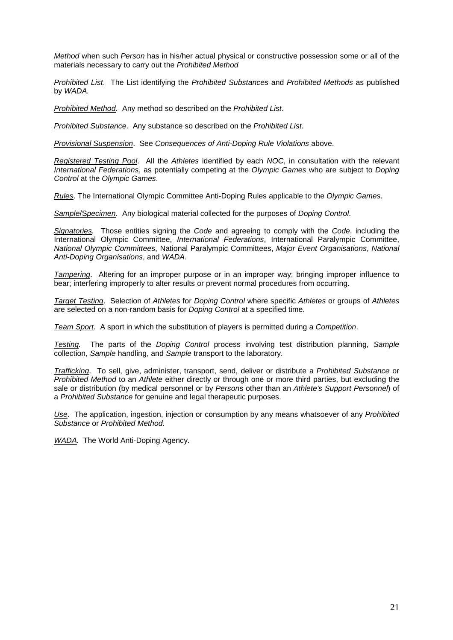Method when such Person has in his/her actual physical or constructive possession some or all of the materials necessary to carry out the Prohibited Method

Prohibited List. The List identifying the Prohibited Substances and Prohibited Methods as published by WADA.

Prohibited Method. Any method so described on the Prohibited List.

Prohibited Substance. Any substance so described on the Prohibited List.

Provisional Suspension. See Consequences of Anti-Doping Rule Violations above.

Registered Testing Pool. All the Athletes identified by each NOC, in consultation with the relevant International Federations, as potentially competing at the Olympic Games who are subject to Doping Control at the Olympic Games.

Rules. The International Olympic Committee Anti-Doping Rules applicable to the Olympic Games.

Sample/Specimen. Any biological material collected for the purposes of Doping Control.

Signatories. Those entities signing the Code and agreeing to comply with the Code, including the International Olympic Committee, International Federations, International Paralympic Committee. National Olympic Committees, National Paralympic Committees, Major Event Organisations, National Anti-Doping Organisations, and WADA.

Tampering. Altering for an improper purpose or in an improper way; bringing improper influence to bear; interfering improperly to alter results or prevent normal procedures from occurring.

Target Testing. Selection of Athletes for Doping Control where specific Athletes or groups of Athletes are selected on a non-random basis for Doping Control at a specified time.

Team Sport. A sport in which the substitution of players is permitted during a Competition.

Testing. The parts of the Doping Control process involving test distribution planning, Sample collection, Sample handling, and Sample transport to the laboratory.

Trafficking. To sell, give, administer, transport, send, deliver or distribute a Prohibited Substance or Prohibited Method to an Athlete either directly or through one or more third parties, but excluding the sale or distribution (by medical personnel or by Persons other than an Athlete's Support Personnel) of a Prohibited Substance for genuine and legal therapeutic purposes.

Use. The application, ingestion, injection or consumption by any means whatsoever of any Prohibited Substance or Prohibited Method.

WADA. The World Anti-Doping Agency.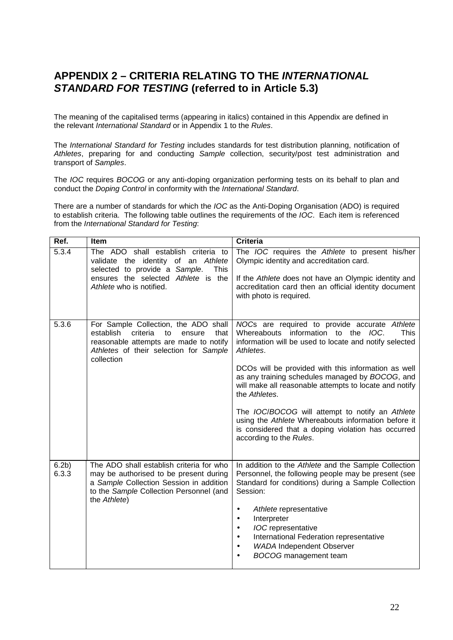## **APPENDIX 2 – CRITERIA RELATING TO THE INTERNATIONAL STANDARD FOR TESTING (referred to in Article 5.3)**

The meaning of the capitalised terms (appearing in italics) contained in this Appendix are defined in the relevant International Standard or in Appendix 1 to the Rules.

The International Standard for Testing includes standards for test distribution planning, notification of Athletes, preparing for and conducting Sample collection, security/post test administration and transport of Samples.

The IOC requires BOCOG or any anti-doping organization performing tests on its behalf to plan and conduct the Doping Control in conformity with the International Standard.

There are a number of standards for which the IOC as the Anti-Doping Organisation (ADO) is required to establish criteria. The following table outlines the requirements of the IOC. Each item is referenced from the International Standard for Testing:

| Ref.                      | Item                                                                                                                                                                                     | <b>Criteria</b>                                                                                                                                                                                                                                                                                                                                                                                                                                                                                                                                            |
|---------------------------|------------------------------------------------------------------------------------------------------------------------------------------------------------------------------------------|------------------------------------------------------------------------------------------------------------------------------------------------------------------------------------------------------------------------------------------------------------------------------------------------------------------------------------------------------------------------------------------------------------------------------------------------------------------------------------------------------------------------------------------------------------|
| 5.3.4                     | The ADO shall establish criteria to<br>validate the identity of an Athlete<br>selected to provide a Sample.<br>This<br>ensures the selected Athlete is the<br>Athlete who is notified.   | The IOC requires the Athlete to present his/her<br>Olympic identity and accreditation card.<br>If the Athlete does not have an Olympic identity and<br>accreditation card then an official identity document<br>with photo is required.                                                                                                                                                                                                                                                                                                                    |
| 5.3.6                     | For Sample Collection, the ADO shall<br>establish<br>criteria<br>to<br>that<br>ensure<br>reasonable attempts are made to notify<br>Athletes of their selection for Sample<br>collection  | NOCs are required to provide accurate Athlete<br>Whereabouts information to the IOC.<br><b>This</b><br>information will be used to locate and notify selected<br>Athletes.<br>DCOs will be provided with this information as well<br>as any training schedules managed by BOCOG, and<br>will make all reasonable attempts to locate and notify<br>the Athletes.<br>The IOC/BOCOG will attempt to notify an Athlete<br>using the Athlete Whereabouts information before it<br>is considered that a doping violation has occurred<br>according to the Rules. |
| 6.2 <sub>b</sub><br>6.3.3 | The ADO shall establish criteria for who<br>may be authorised to be present during<br>a Sample Collection Session in addition<br>to the Sample Collection Personnel (and<br>the Athlete) | In addition to the Athlete and the Sample Collection<br>Personnel, the following people may be present (see<br>Standard for conditions) during a Sample Collection<br>Session:<br>Athlete representative<br>$\bullet$<br>Interpreter<br>$\bullet$<br><b>IOC</b> representative<br>$\bullet$<br>International Federation representative<br>$\bullet$<br><b>WADA Independent Observer</b><br>$\bullet$<br><b>BOCOG</b> management team                                                                                                                       |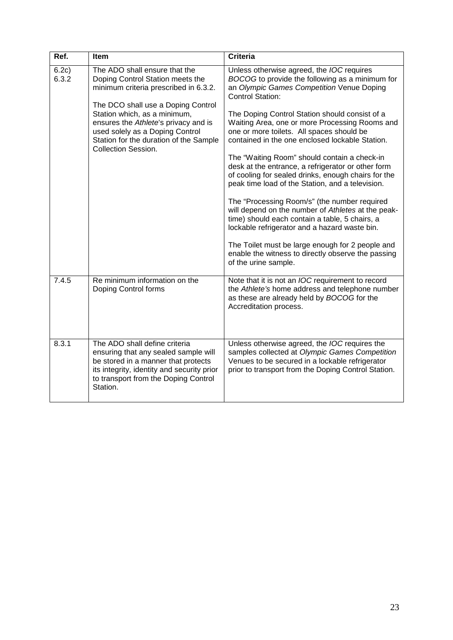| Ref.           | Item                                                                                                                                                                                                                                                                                                                                | Criteria                                                                                                                                                                                                                                                                                                                                                                                                                                                                                                                                                                                                                                                                                                                                                                                                                                                                                                                                    |
|----------------|-------------------------------------------------------------------------------------------------------------------------------------------------------------------------------------------------------------------------------------------------------------------------------------------------------------------------------------|---------------------------------------------------------------------------------------------------------------------------------------------------------------------------------------------------------------------------------------------------------------------------------------------------------------------------------------------------------------------------------------------------------------------------------------------------------------------------------------------------------------------------------------------------------------------------------------------------------------------------------------------------------------------------------------------------------------------------------------------------------------------------------------------------------------------------------------------------------------------------------------------------------------------------------------------|
| 6.2c)<br>6.3.2 | The ADO shall ensure that the<br>Doping Control Station meets the<br>minimum criteria prescribed in 6.3.2.<br>The DCO shall use a Doping Control<br>Station which, as a minimum,<br>ensures the Athlete's privacy and is<br>used solely as a Doping Control<br>Station for the duration of the Sample<br><b>Collection Session.</b> | Unless otherwise agreed, the <i>IOC</i> requires<br>BOCOG to provide the following as a minimum for<br>an Olympic Games Competition Venue Doping<br><b>Control Station:</b><br>The Doping Control Station should consist of a<br>Waiting Area, one or more Processing Rooms and<br>one or more toilets. All spaces should be<br>contained in the one enclosed lockable Station.<br>The "Waiting Room" should contain a check-in<br>desk at the entrance, a refrigerator or other form<br>of cooling for sealed drinks, enough chairs for the<br>peak time load of the Station, and a television.<br>The "Processing Room/s" (the number required<br>will depend on the number of Athletes at the peak-<br>time) should each contain a table, 5 chairs, a<br>lockable refrigerator and a hazard waste bin.<br>The Toilet must be large enough for 2 people and<br>enable the witness to directly observe the passing<br>of the urine sample. |
| 7.4.5          | Re minimum information on the<br>Doping Control forms                                                                                                                                                                                                                                                                               | Note that it is not an <i>IOC</i> requirement to record<br>the Athlete's home address and telephone number<br>as these are already held by BOCOG for the<br>Accreditation process.                                                                                                                                                                                                                                                                                                                                                                                                                                                                                                                                                                                                                                                                                                                                                          |
| 8.3.1          | The ADO shall define criteria<br>ensuring that any sealed sample will<br>be stored in a manner that protects<br>its integrity, identity and security prior<br>to transport from the Doping Control<br>Station.                                                                                                                      | Unless otherwise agreed, the IOC requires the<br>samples collected at Olympic Games Competition<br>Venues to be secured in a lockable refrigerator<br>prior to transport from the Doping Control Station.                                                                                                                                                                                                                                                                                                                                                                                                                                                                                                                                                                                                                                                                                                                                   |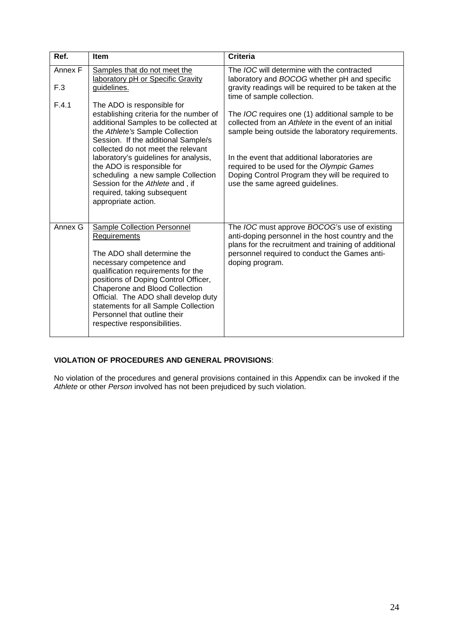| Ref.           | Item                                                                                                                                                                                                                                                                                                                                                                                                                                 | <b>Criteria</b>                                                                                                                                                                                                                                                                                                                                          |
|----------------|--------------------------------------------------------------------------------------------------------------------------------------------------------------------------------------------------------------------------------------------------------------------------------------------------------------------------------------------------------------------------------------------------------------------------------------|----------------------------------------------------------------------------------------------------------------------------------------------------------------------------------------------------------------------------------------------------------------------------------------------------------------------------------------------------------|
| Annex F<br>F.3 | Samples that do not meet the<br>laboratory pH or Specific Gravity<br>guidelines.                                                                                                                                                                                                                                                                                                                                                     | The <i>IOC</i> will determine with the contracted<br>laboratory and BOCOG whether pH and specific<br>gravity readings will be required to be taken at the<br>time of sample collection.                                                                                                                                                                  |
| F.4.1          | The ADO is responsible for<br>establishing criteria for the number of<br>additional Samples to be collected at<br>the Athlete's Sample Collection<br>Session. If the additional Sample/s<br>collected do not meet the relevant<br>laboratory's guidelines for analysis,<br>the ADO is responsible for<br>scheduling a new sample Collection<br>Session for the Athlete and, if<br>required, taking subsequent<br>appropriate action. | The <i>IOC</i> requires one (1) additional sample to be<br>collected from an Athlete in the event of an initial<br>sample being outside the laboratory requirements.<br>In the event that additional laboratories are<br>required to be used for the Olympic Games<br>Doping Control Program they will be required to<br>use the same agreed guidelines. |
| Annex G        | Sample Collection Personnel<br>Requirements<br>The ADO shall determine the<br>necessary competence and<br>qualification requirements for the<br>positions of Doping Control Officer,<br>Chaperone and Blood Collection<br>Official. The ADO shall develop duty<br>statements for all Sample Collection<br>Personnel that outline their<br>respective responsibilities.                                                               | The <i>IOC</i> must approve <i>BOCOG</i> 's use of existing<br>anti-doping personnel in the host country and the<br>plans for the recruitment and training of additional<br>personnel required to conduct the Games anti-<br>doping program.                                                                                                             |

### **VIOLATION OF PROCEDURES AND GENERAL PROVISIONS**:

No violation of the procedures and general provisions contained in this Appendix can be invoked if the Athlete or other Person involved has not been prejudiced by such violation.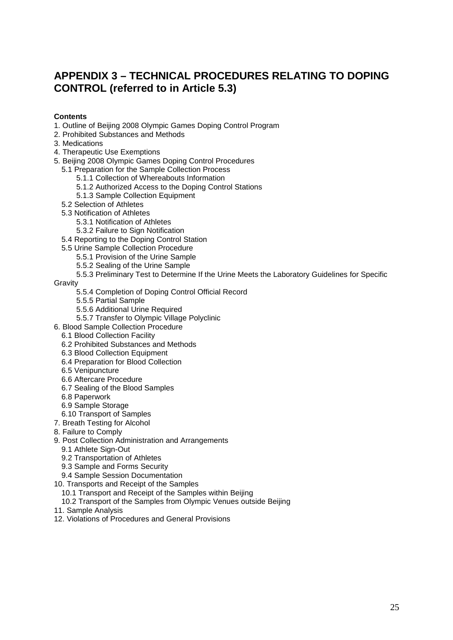# **APPENDIX 3 – TECHNICAL PROCEDURES RELATING TO DOPING CONTROL (referred to in Article 5.3)**

### **Contents**

- 1. Outline of Beijing 2008 Olympic Games Doping Control Program
- 2. Prohibited Substances and Methods
- 3. Medications
- 4. Therapeutic Use Exemptions
- 5. Beijing 2008 Olympic Games Doping Control Procedures
	- 5.1 Preparation for the Sample Collection Process
		- 5.1.1 Collection of Whereabouts Information
		- 5.1.2 Authorized Access to the Doping Control Stations
		- 5.1.3 Sample Collection Equipment
	- 5.2 Selection of Athletes
	- 5.3 Notification of Athletes
		- 5.3.1 Notification of Athletes
		- 5.3.2 Failure to Sign Notification
	- 5.4 Reporting to the Doping Control Station
	- 5.5 Urine Sample Collection Procedure
		- 5.5.1 Provision of the Urine Sample
		- 5.5.2 Sealing of the Urine Sample
		- 5.5.3 Preliminary Test to Determine If the Urine Meets the Laboratory Guidelines for Specific

Gravity

- 5.5.4 Completion of Doping Control Official Record
- 5.5.5 Partial Sample
- 5.5.6 Additional Urine Required
- 5.5.7 Transfer to Olympic Village Polyclinic
- 6. Blood Sample Collection Procedure
	- 6.1 Blood Collection Facility
	- 6.2 Prohibited Substances and Methods
	- 6.3 Blood Collection Equipment
	- 6.4 Preparation for Blood Collection
	- 6.5 Venipuncture
	- 6.6 Aftercare Procedure
	- 6.7 Sealing of the Blood Samples
	- 6.8 Paperwork
	- 6.9 Sample Storage
	- 6.10 Transport of Samples
- 7. Breath Testing for Alcohol
- 8. Failure to Comply
- 9. Post Collection Administration and Arrangements
	- 9.1 Athlete Sign-Out
	- 9.2 Transportation of Athletes
	- 9.3 Sample and Forms Security
	- 9.4 Sample Session Documentation
- 10. Transports and Receipt of the Samples
	- 10.1 Transport and Receipt of the Samples within Beijing
	- 10.2 Transport of the Samples from Olympic Venues outside Beijing
- 11. Sample Analysis
- 12. Violations of Procedures and General Provisions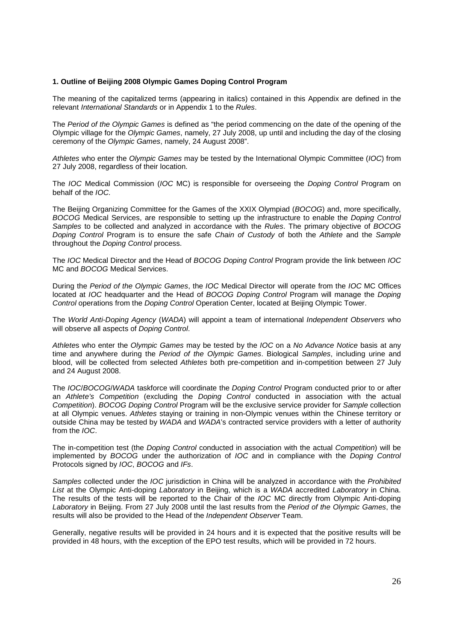#### **1. Outline of Beijing 2008 Olympic Games Doping Control Program**

The meaning of the capitalized terms (appearing in italics) contained in this Appendix are defined in the relevant International Standards or in Appendix 1 to the Rules.

The Period of the Olympic Games is defined as "the period commencing on the date of the opening of the Olympic village for the Olympic Games, namely, 27 July 2008, up until and including the day of the closing ceremony of the Olympic Games, namely, 24 August 2008".

Athletes who enter the Olympic Games may be tested by the International Olympic Committee (IOC) from 27 July 2008, regardless of their location.

The IOC Medical Commission (IOC MC) is responsible for overseeing the Doping Control Program on behalf of the IOC.

The Beijing Organizing Committee for the Games of the XXIX Olympiad (BOCOG) and, more specifically, BOCOG Medical Services, are responsible to setting up the infrastructure to enable the Doping Control Samples to be collected and analyzed in accordance with the Rules. The primary objective of BOCOG Doping Control Program is to ensure the safe Chain of Custody of both the Athlete and the Sample throughout the Doping Control process.

The IOC Medical Director and the Head of BOCOG Doping Control Program provide the link between IOC MC and BOCOG Medical Services.

During the Period of the Olympic Games, the IOC Medical Director will operate from the IOC MC Offices located at *IOC* headquarter and the Head of BOCOG Doping Control Program will manage the Doping Control operations from the Doping Control Operation Center, located at Beijing Olympic Tower.

The World Anti-Doping Agency (WADA) will appoint a team of international Independent Observers who will observe all aspects of Doping Control.

Athletes who enter the Olympic Games may be tested by the IOC on a No Advance Notice basis at any time and anywhere during the Period of the Olympic Games. Biological Samples, including urine and blood, will be collected from selected Athletes both pre-competition and in-competition between 27 July and 24 August 2008.

The *IOC/BOCOG/WADA* taskforce will coordinate the *Doping Control* Program conducted prior to or after an Athlete's Competition (excluding the Doping Control conducted in association with the actual Competition). BOCOG Doping Control Program will be the exclusive service provider for Sample collection at all Olympic venues. Athletes staying or training in non-Olympic venues within the Chinese territory or outside China may be tested by WADA and WADA's contracted service providers with a letter of authority from the IOC.

The in-competition test (the *Doping Control* conducted in association with the actual Competition) will be implemented by BOCOG under the authorization of IOC and in compliance with the Doping Control Protocols signed by IOC, BOCOG and IFs.

Samples collected under the IOC jurisdiction in China will be analyzed in accordance with the Prohibited List at the Olympic Anti-doping Laboratory in Beijing, which is a WADA accredited Laboratory in China. The results of the tests will be reported to the Chair of the IOC MC directly from Olympic Anti-doping Laboratory in Beijing. From 27 July 2008 until the last results from the Period of the Olympic Games, the results will also be provided to the Head of the Independent Observer Team.

Generally, negative results will be provided in 24 hours and it is expected that the positive results will be provided in 48 hours, with the exception of the EPO test results, which will be provided in 72 hours.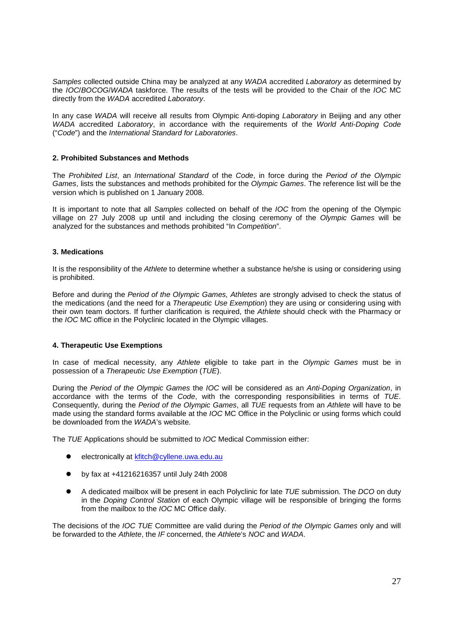Samples collected outside China may be analyzed at any WADA accredited Laboratory as determined by the IOC/BOCOG/WADA taskforce. The results of the tests will be provided to the Chair of the IOC MC directly from the WADA accredited Laboratory.

In any case WADA will receive all results from Olympic Anti-doping Laboratory in Beijing and any other WADA accredited Laboratory, in accordance with the requirements of the World Anti-Doping Code ("Code") and the International Standard for Laboratories.

#### **2. Prohibited Substances and Methods**

The Prohibited List, an International Standard of the Code, in force during the Period of the Olympic Games, lists the substances and methods prohibited for the Olympic Games. The reference list will be the version which is published on 1 January 2008.

It is important to note that all Samples collected on behalf of the *IOC* from the opening of the Olympic village on 27 July 2008 up until and including the closing ceremony of the Olympic Games will be analyzed for the substances and methods prohibited "In Competition".

#### **3. Medications**

It is the responsibility of the Athlete to determine whether a substance he/she is using or considering using is prohibited.

Before and during the Period of the Olympic Games, Athletes are strongly advised to check the status of the medications (and the need for a Therapeutic Use Exemption) they are using or considering using with their own team doctors. If further clarification is required, the Athlete should check with the Pharmacy or the IOC MC office in the Polyclinic located in the Olympic villages.

#### **4. Therapeutic Use Exemptions**

In case of medical necessity, any Athlete eligible to take part in the Olympic Games must be in possession of a Therapeutic Use Exemption (TUE).

During the Period of the Olympic Games the IOC will be considered as an Anti-Doping Organization, in accordance with the terms of the Code, with the corresponding responsibilities in terms of TUE. Consequently, during the Period of the Olympic Games, all TUE requests from an Athlete will have to be made using the standard forms available at the IOC MC Office in the Polyclinic or using forms which could be downloaded from the WADA's website.

The TUE Applications should be submitted to IOC Medical Commission either:

- $\bullet$ electronically at kfitch@cyllene.uwa.edu.au
- $\bullet$ by fax at +41216216357 until July 24th 2008
- $\bullet$ A dedicated mailbox will be present in each Polyclinic for late TUE submission. The DCO on duty in the Doping Control Station of each Olympic village will be responsible of bringing the forms from the mailbox to the IOC MC Office daily.

The decisions of the IOC TUE Committee are valid during the Period of the Olympic Games only and will be forwarded to the Athlete, the IF concerned, the Athlete's NOC and WADA.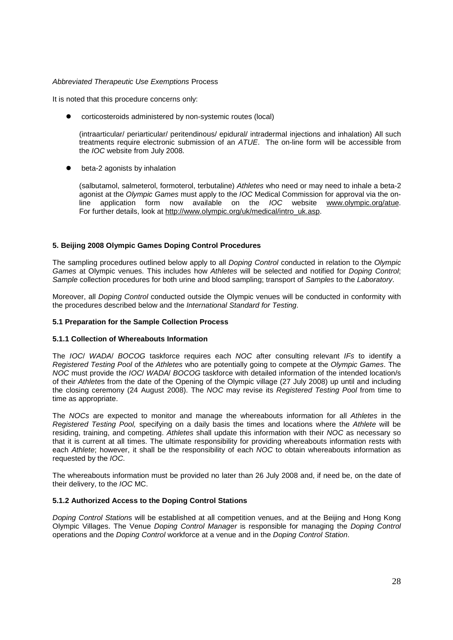#### Abbreviated Therapeutic Use Exemptions Process

It is noted that this procedure concerns only:

 $\bullet$ corticosteroids administered by non-systemic routes (local)

 (intraarticular/ periarticular/ peritendinous/ epidural/ intradermal injections and inhalation) All such treatments require electronic submission of an ATUE. The on-line form will be accessible from the IOC website from July 2008.

 $\bullet$ beta-2 agonists by inhalation

> (salbutamol, salmeterol, formoterol, terbutaline) Athletes who need or may need to inhale a beta-2 agonist at the Olympic Games must apply to the IOC Medical Commission for approval via the online application form now available on the IOC website www.olympic.org/atue. For further details, look at http://www.olympic.org/uk/medical/intro\_uk.asp.

#### **5. Beijing 2008 Olympic Games Doping Control Procedures**

The sampling procedures outlined below apply to all *Doping Control* conducted in relation to the Olympic Games at Olympic venues. This includes how Athletes will be selected and notified for Doping Control; Sample collection procedures for both urine and blood sampling; transport of Samples to the Laboratory.

Moreover, all Doping Control conducted outside the Olympic venues will be conducted in conformity with the procedures described below and the International Standard for Testing.

#### **5.1 Preparation for the Sample Collection Process**

#### **5.1.1 Collection of Whereabouts Information**

The IOC/ WADA/ BOCOG taskforce requires each NOC after consulting relevant IFs to identify a Registered Testing Pool of the Athletes who are potentially going to compete at the Olympic Games. The NOC must provide the IOC/ WADA/ BOCOG taskforce with detailed information of the intended location/s of their Athletes from the date of the Opening of the Olympic village (27 July 2008) up until and including the closing ceremony (24 August 2008). The NOC may revise its Registered Testing Pool from time to time as appropriate.

The NOCs are expected to monitor and manage the whereabouts information for all Athletes in the Registered Testing Pool, specifying on a daily basis the times and locations where the Athlete will be residing, training, and competing. Athletes shall update this information with their NOC as necessary so that it is current at all times. The ultimate responsibility for providing whereabouts information rests with each Athlete; however, it shall be the responsibility of each NOC to obtain whereabouts information as requested by the IOC.

The whereabouts information must be provided no later than 26 July 2008 and, if need be, on the date of their delivery, to the IOC MC.

#### **5.1.2 Authorized Access to the Doping Control Stations**

Doping Control Stations will be established at all competition venues, and at the Beijing and Hong Kong Olympic Villages. The Venue Doping Control Manager is responsible for managing the Doping Control operations and the Doping Control workforce at a venue and in the Doping Control Station.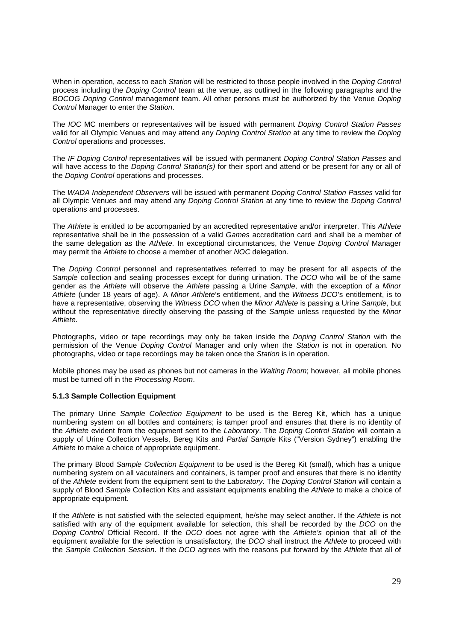When in operation, access to each Station will be restricted to those people involved in the Doping Control process including the Doping Control team at the venue, as outlined in the following paragraphs and the BOCOG Doping Control management team. All other persons must be authorized by the Venue Doping Control Manager to enter the Station.

The IOC MC members or representatives will be issued with permanent Doping Control Station Passes valid for all Olympic Venues and may attend any Doping Control Station at any time to review the Doping Control operations and processes.

The IF Doping Control representatives will be issued with permanent Doping Control Station Passes and will have access to the *Doping Control Station(s)* for their sport and attend or be present for any or all of the Doping Control operations and processes.

The WADA Independent Observers will be issued with permanent Doping Control Station Passes valid for all Olympic Venues and may attend any Doping Control Station at any time to review the Doping Control operations and processes.

The Athlete is entitled to be accompanied by an accredited representative and/or interpreter. This Athlete representative shall be in the possession of a valid Games accreditation card and shall be a member of the same delegation as the Athlete. In exceptional circumstances, the Venue Doping Control Manager may permit the Athlete to choose a member of another NOC delegation.

The Doping Control personnel and representatives referred to may be present for all aspects of the Sample collection and sealing processes except for during urination. The DCO who will be of the same gender as the Athlete will observe the Athlete passing a Urine Sample, with the exception of a Minor Athlete (under 18 years of age). A Minor Athlete's entitlement, and the Witness DCO's entitlement, is to have a representative, observing the Witness DCO when the Minor Athlete is passing a Urine Sample, but without the representative directly observing the passing of the Sample unless requested by the Minor Athlete.

Photographs, video or tape recordings may only be taken inside the Doping Control Station with the permission of the Venue Doping Control Manager and only when the Station is not in operation. No photographs, video or tape recordings may be taken once the Station is in operation.

Mobile phones may be used as phones but not cameras in the Waiting Room; however, all mobile phones must be turned off in the Processing Room.

#### **5.1.3 Sample Collection Equipment**

The primary Urine Sample Collection Equipment to be used is the Bereg Kit, which has a unique numbering system on all bottles and containers; is tamper proof and ensures that there is no identity of the Athlete evident from the equipment sent to the Laboratory. The Doping Control Station will contain a supply of Urine Collection Vessels, Bereg Kits and Partial Sample Kits ("Version Sydney") enabling the Athlete to make a choice of appropriate equipment.

The primary Blood Sample Collection Equipment to be used is the Bereg Kit (small), which has a unique numbering system on all vacutainers and containers, is tamper proof and ensures that there is no identity of the Athlete evident from the equipment sent to the Laboratory. The Doping Control Station will contain a supply of Blood Sample Collection Kits and assistant equipments enabling the Athlete to make a choice of appropriate equipment.

If the Athlete is not satisfied with the selected equipment, he/she may select another. If the Athlete is not satisfied with any of the equipment available for selection, this shall be recorded by the DCO on the Doping Control Official Record. If the DCO does not agree with the Athlete's opinion that all of the equipment available for the selection is unsatisfactory, the DCO shall instruct the Athlete to proceed with the Sample Collection Session. If the DCO agrees with the reasons put forward by the Athlete that all of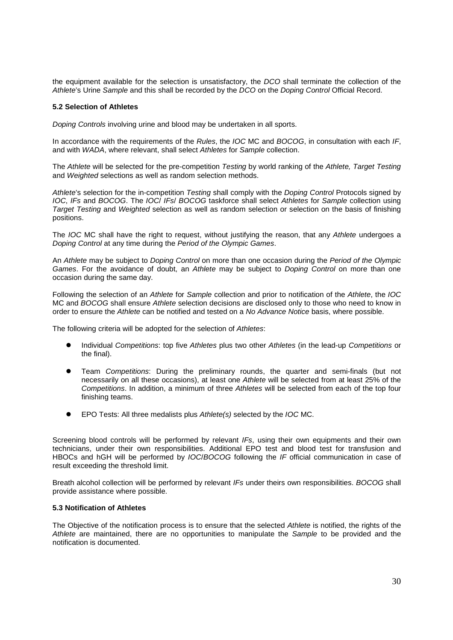the equipment available for the selection is unsatisfactory, the DCO shall terminate the collection of the Athlete's Urine Sample and this shall be recorded by the DCO on the Doping Control Official Record.

#### **5.2 Selection of Athletes**

Doping Controls involving urine and blood may be undertaken in all sports.

In accordance with the requirements of the Rules, the IOC MC and BOCOG, in consultation with each IF, and with WADA, where relevant, shall select Athletes for Sample collection.

The Athlete will be selected for the pre-competition Testing by world ranking of the Athlete, Target Testing and Weighted selections as well as random selection methods.

Athlete's selection for the in-competition Testing shall comply with the Doping Control Protocols signed by IOC, IFs and BOCOG. The IOC/ IFs/ BOCOG taskforce shall select Athletes for Sample collection using Target Testing and Weighted selection as well as random selection or selection on the basis of finishing positions.

The IOC MC shall have the right to request, without justifying the reason, that any Athlete undergoes a Doping Control at any time during the Period of the Olympic Games.

An Athlete may be subject to Doping Control on more than one occasion during the Period of the Olympic Games. For the avoidance of doubt, an Athlete may be subject to *Doping Control* on more than one occasion during the same day.

Following the selection of an Athlete for Sample collection and prior to notification of the Athlete, the IOC MC and BOCOG shall ensure Athlete selection decisions are disclosed only to those who need to know in order to ensure the Athlete can be notified and tested on a No Advance Notice basis, where possible.

The following criteria will be adopted for the selection of Athletes:

- $\bullet$  Individual Competitions: top five Athletes plus two other Athletes (in the lead-up Competitions or the final).
- $\bullet$  Team Competitions: During the preliminary rounds, the quarter and semi-finals (but not necessarily on all these occasions), at least one Athlete will be selected from at least 25% of the Competitions. In addition, a minimum of three Athletes will be selected from each of the top four finishing teams.
- $\bullet$ EPO Tests: All three medalists plus Athlete(s) selected by the IOC MC.

Screening blood controls will be performed by relevant IFs, using their own equipments and their own technicians, under their own responsibilities. Additional EPO test and blood test for transfusion and HBOCs and hGH will be performed by IOC/BOCOG following the IF official communication in case of result exceeding the threshold limit.

Breath alcohol collection will be performed by relevant IFs under theirs own responsibilities. BOCOG shall provide assistance where possible.

#### **5.3 Notification of Athletes**

The Objective of the notification process is to ensure that the selected Athlete is notified, the rights of the Athlete are maintained, there are no opportunities to manipulate the Sample to be provided and the notification is documented.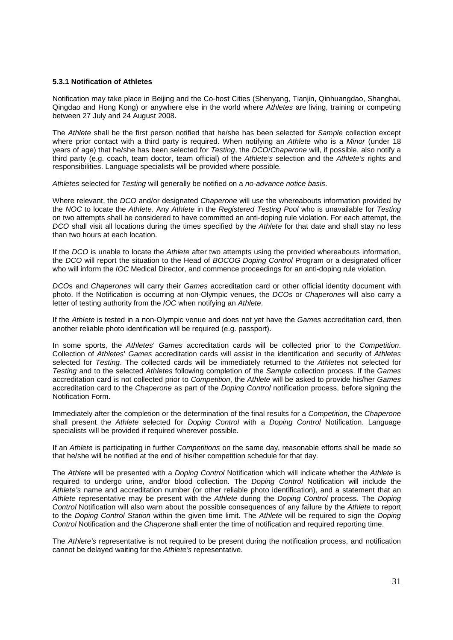#### **5.3.1 Notification of Athletes**

Notification may take place in Beijing and the Co-host Cities (Shenyang, Tianjin, Qinhuangdao, Shanghai, Qingdao and Hong Kong) or anywhere else in the world where Athletes are living, training or competing between 27 July and 24 August 2008.

The Athlete shall be the first person notified that he/she has been selected for Sample collection except where prior contact with a third party is required. When notifying an Athlete who is a Minor (under 18 years of age) that he/she has been selected for Testing, the DCO/Chaperone will, if possible, also notify a third party (e.g. coach, team doctor, team official) of the Athlete's selection and the Athlete's rights and responsibilities. Language specialists will be provided where possible.

Athletes selected for Testing will generally be notified on a no-advance notice basis.

Where relevant, the DCO and/or designated Chaperone will use the whereabouts information provided by the NOC to locate the Athlete. Any Athlete in the Registered Testing Pool who is unavailable for Testing on two attempts shall be considered to have committed an anti-doping rule violation. For each attempt, the DCO shall visit all locations during the times specified by the Athlete for that date and shall stay no less than two hours at each location.

If the DCO is unable to locate the Athlete after two attempts using the provided whereabouts information, the DCO will report the situation to the Head of BOCOG Doping Control Program or a designated officer who will inform the IOC Medical Director, and commence proceedings for an anti-doping rule violation.

DCOs and Chaperones will carry their Games accreditation card or other official identity document with photo. If the Notification is occurring at non-Olympic venues, the DCOs or Chaperones will also carry a letter of testing authority from the IOC when notifying an Athlete.

If the Athlete is tested in a non-Olympic venue and does not yet have the Games accreditation card, then another reliable photo identification will be required (e.g. passport).

In some sports, the Athletes' Games accreditation cards will be collected prior to the Competition. Collection of Athletes' Games accreditation cards will assist in the identification and security of Athletes selected for Testing. The collected cards will be immediately returned to the Athletes not selected for Testing and to the selected Athletes following completion of the Sample collection process. If the Games accreditation card is not collected prior to Competition, the Athlete will be asked to provide his/her Games accreditation card to the Chaperone as part of the Doping Control notification process, before signing the Notification Form.

Immediately after the completion or the determination of the final results for a Competition, the Chaperone shall present the Athlete selected for Doping Control with a Doping Control Notification. Language specialists will be provided if required wherever possible.

If an Athlete is participating in further Competitions on the same day, reasonable efforts shall be made so that he/she will be notified at the end of his/her competition schedule for that day.

The Athlete will be presented with a Doping Control Notification which will indicate whether the Athlete is required to undergo urine, and/or blood collection. The Doping Control Notification will include the Athlete's name and accreditation number (or other reliable photo identification), and a statement that an Athlete representative may be present with the Athlete during the Doping Control process. The Doping Control Notification will also warn about the possible consequences of any failure by the Athlete to report to the Doping Control Station within the given time limit. The Athlete will be required to sign the Doping Control Notification and the Chaperone shall enter the time of notification and required reporting time.

The Athlete's representative is not required to be present during the notification process, and notification cannot be delayed waiting for the Athlete's representative.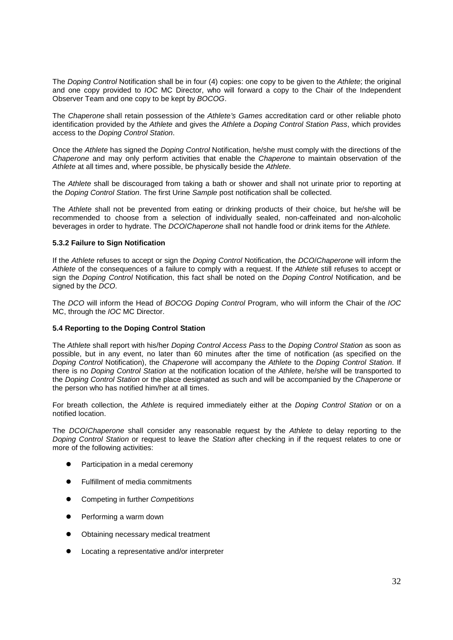The Doping Control Notification shall be in four (4) copies: one copy to be given to the Athlete; the original and one copy provided to IOC MC Director, who will forward a copy to the Chair of the Independent Observer Team and one copy to be kept by BOCOG.

The Chaperone shall retain possession of the Athlete's Games accreditation card or other reliable photo identification provided by the Athlete and gives the Athlete a Doping Control Station Pass, which provides access to the Doping Control Station.

Once the Athlete has signed the *Doping Control* Notification, he/she must comply with the directions of the Chaperone and may only perform activities that enable the Chaperone to maintain observation of the Athlete at all times and, where possible, be physically beside the Athlete.

The Athlete shall be discouraged from taking a bath or shower and shall not urinate prior to reporting at the Doping Control Station. The first Urine Sample post notification shall be collected.

The Athlete shall not be prevented from eating or drinking products of their choice, but he/she will be recommended to choose from a selection of individually sealed, non-caffeinated and non-alcoholic beverages in order to hydrate. The DCO/Chaperone shall not handle food or drink items for the Athlete.

#### **5.3.2 Failure to Sign Notification**

If the Athlete refuses to accept or sign the Doping Control Notification, the DCO/Chaperone will inform the Athlete of the consequences of a failure to comply with a request. If the Athlete still refuses to accept or sign the *Doping Control* Notification, this fact shall be noted on the *Doping Control* Notification, and be signed by the DCO.

The DCO will inform the Head of BOCOG Doping Control Program, who will inform the Chair of the IOC MC, through the IOC MC Director.

#### **5.4 Reporting to the Doping Control Station**

The Athlete shall report with his/her Doping Control Access Pass to the Doping Control Station as soon as possible, but in any event, no later than 60 minutes after the time of notification (as specified on the Doping Control Notification), the Chaperone will accompany the Athlete to the Doping Control Station. If there is no *Doping Control Station* at the notification location of the Athlete, he/she will be transported to the Doping Control Station or the place designated as such and will be accompanied by the Chaperone or the person who has notified him/her at all times.

For breath collection, the Athlete is required immediately either at the *Doping Control Station* or on a notified location.

The DCO/Chaperone shall consider any reasonable request by the Athlete to delay reporting to the Doping Control Station or request to leave the Station after checking in if the request relates to one or more of the following activities:

- $\bullet$ Participation in a medal ceremony
- $\bullet$ Fulfillment of media commitments
- $\bullet$ Competing in further Competitions
- $\bullet$ Performing a warm down
- $\bullet$ Obtaining necessary medical treatment
- $\bullet$ Locating a representative and/or interpreter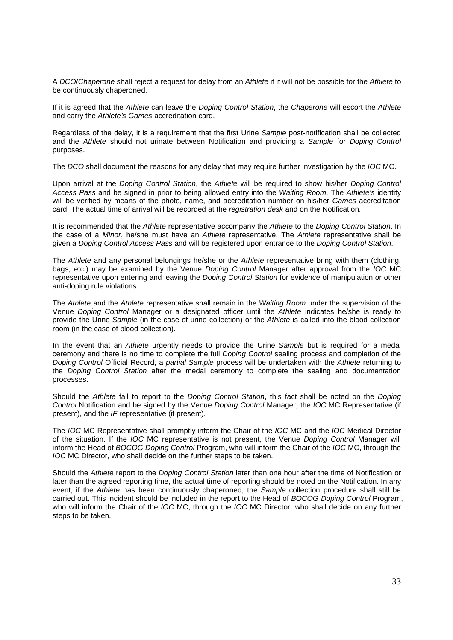A DCO/Chaperone shall reject a request for delay from an Athlete if it will not be possible for the Athlete to be continuously chaperoned.

If it is agreed that the Athlete can leave the Doping Control Station, the Chaperone will escort the Athlete and carry the Athlete's Games accreditation card.

Regardless of the delay, it is a requirement that the first Urine Sample post-notification shall be collected and the Athlete should not urinate between Notification and providing a Sample for Doping Control purposes.

The DCO shall document the reasons for any delay that may require further investigation by the IOC MC.

Upon arrival at the Doping Control Station, the Athlete will be required to show his/her Doping Control Access Pass and be signed in prior to being allowed entry into the Waiting Room. The Athlete's identity will be verified by means of the photo, name, and accreditation number on his/her Games accreditation card. The actual time of arrival will be recorded at the registration desk and on the Notification.

It is recommended that the Athlete representative accompany the Athlete to the Doping Control Station. In the case of a Minor, he/she must have an Athlete representative. The Athlete representative shall be given a Doping Control Access Pass and will be registered upon entrance to the Doping Control Station.

The Athlete and any personal belongings he/she or the Athlete representative bring with them (clothing, bags, etc.) may be examined by the Venue Doping Control Manager after approval from the IOC MC representative upon entering and leaving the *Doping Control Station* for evidence of manipulation or other anti-doping rule violations.

The Athlete and the Athlete representative shall remain in the Waiting Room under the supervision of the Venue Doping Control Manager or a designated officer until the Athlete indicates he/she is ready to provide the Urine Sample (in the case of urine collection) or the Athlete is called into the blood collection room (in the case of blood collection).

In the event that an Athlete urgently needs to provide the Urine Sample but is required for a medal ceremony and there is no time to complete the full Doping Control sealing process and completion of the Doping Control Official Record, a partial Sample process will be undertaken with the Athlete returning to the Doping Control Station after the medal ceremony to complete the sealing and documentation processes.

Should the Athlete fail to report to the Doping Control Station, this fact shall be noted on the Doping Control Notification and be signed by the Venue Doping Control Manager, the IOC MC Representative (if present), and the IF representative (if present).

The IOC MC Representative shall promptly inform the Chair of the IOC MC and the IOC Medical Director of the situation. If the IOC MC representative is not present, the Venue Doping Control Manager will inform the Head of BOCOG Doping Control Program, who will inform the Chair of the IOC MC, through the IOC MC Director, who shall decide on the further steps to be taken.

Should the Athlete report to the Doping Control Station later than one hour after the time of Notification or later than the agreed reporting time, the actual time of reporting should be noted on the Notification. In any event, if the Athlete has been continuously chaperoned, the Sample collection procedure shall still be carried out. This incident should be included in the report to the Head of BOCOG Doping Control Program, who will inform the Chair of the IOC MC, through the IOC MC Director, who shall decide on any further steps to be taken.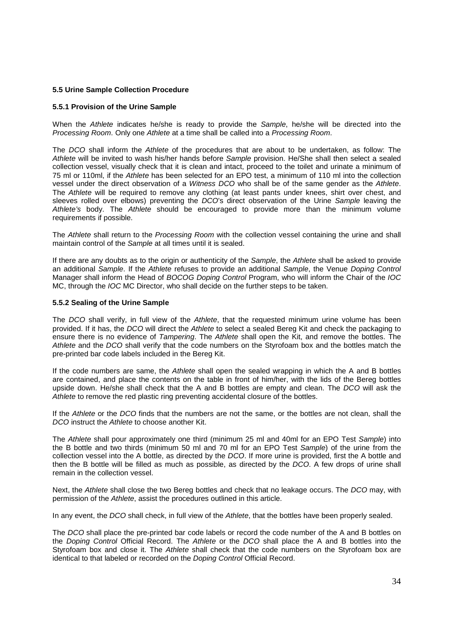#### **5.5 Urine Sample Collection Procedure**

#### **5.5.1 Provision of the Urine Sample**

When the Athlete indicates he/she is ready to provide the Sample, he/she will be directed into the Processing Room. Only one Athlete at a time shall be called into a Processing Room.

The DCO shall inform the Athlete of the procedures that are about to be undertaken, as follow: The Athlete will be invited to wash his/her hands before Sample provision. He/She shall then select a sealed collection vessel, visually check that it is clean and intact, proceed to the toilet and urinate a minimum of 75 ml or 110ml, if the Athlete has been selected for an EPO test, a minimum of 110 ml into the collection vessel under the direct observation of a Witness DCO who shall be of the same gender as the Athlete. The Athlete will be required to remove any clothing (at least pants under knees, shirt over chest, and sleeves rolled over elbows) preventing the DCO's direct observation of the Urine Sample leaving the Athlete's body. The Athlete should be encouraged to provide more than the minimum volume requirements if possible.

The Athlete shall return to the Processing Room with the collection vessel containing the urine and shall maintain control of the Sample at all times until it is sealed.

If there are any doubts as to the origin or authenticity of the Sample, the Athlete shall be asked to provide an additional Sample. If the Athlete refuses to provide an additional Sample, the Venue Doping Control Manager shall inform the Head of BOCOG Doping Control Program, who will inform the Chair of the IOC MC, through the *IOC* MC Director, who shall decide on the further steps to be taken.

#### **5.5.2 Sealing of the Urine Sample**

The DCO shall verify, in full view of the Athlete, that the requested minimum urine volume has been provided. If it has, the DCO will direct the Athlete to select a sealed Bereg Kit and check the packaging to ensure there is no evidence of Tampering. The Athlete shall open the Kit, and remove the bottles. The Athlete and the DCO shall verify that the code numbers on the Styrofoam box and the bottles match the pre-printed bar code labels included in the Bereg Kit.

If the code numbers are same, the Athlete shall open the sealed wrapping in which the A and B bottles are contained, and place the contents on the table in front of him/her, with the lids of the Bereg bottles upside down. He/she shall check that the A and B bottles are empty and clean. The DCO will ask the Athlete to remove the red plastic ring preventing accidental closure of the bottles.

If the Athlete or the DCO finds that the numbers are not the same, or the bottles are not clean, shall the DCO instruct the Athlete to choose another Kit.

The Athlete shall pour approximately one third (minimum 25 ml and 40ml for an EPO Test Sample) into the B bottle and two thirds (minimum 50 ml and 70 ml for an EPO Test Sample) of the urine from the collection vessel into the A bottle, as directed by the DCO. If more urine is provided, first the A bottle and then the B bottle will be filled as much as possible, as directed by the DCO. A few drops of urine shall remain in the collection vessel.

Next, the Athlete shall close the two Bereg bottles and check that no leakage occurs. The DCO may, with permission of the Athlete, assist the procedures outlined in this article.

In any event, the DCO shall check, in full view of the Athlete, that the bottles have been properly sealed.

The DCO shall place the pre-printed bar code labels or record the code number of the A and B bottles on the Doping Control Official Record. The Athlete or the DCO shall place the A and B bottles into the Styrofoam box and close it. The Athlete shall check that the code numbers on the Styrofoam box are identical to that labeled or recorded on the Doping Control Official Record.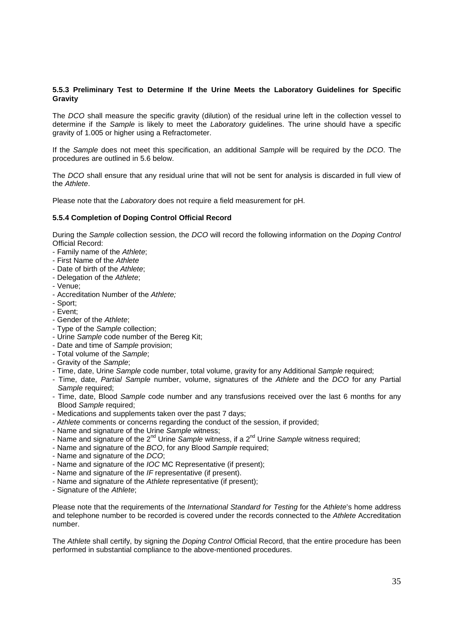#### **5.5.3 Preliminary Test to Determine If the Urine Meets the Laboratory Guidelines for Specific Gravity**

The DCO shall measure the specific gravity (dilution) of the residual urine left in the collection vessel to determine if the Sample is likely to meet the Laboratory guidelines. The urine should have a specific gravity of 1.005 or higher using a Refractometer.

If the Sample does not meet this specification, an additional Sample will be required by the DCO. The procedures are outlined in 5.6 below.

The DCO shall ensure that any residual urine that will not be sent for analysis is discarded in full view of the Athlete.

Please note that the Laboratory does not require a field measurement for pH.

#### **5.5.4 Completion of Doping Control Official Record**

During the Sample collection session, the DCO will record the following information on the Doping Control Official Record:

- Family name of the Athlete;
- First Name of the Athlete
- Date of birth of the Athlete:
- Delegation of the Athlete:
- Venue;
- Accreditation Number of the Athlete;
- Sport;
- Event;
- Gender of the Athlete;
- Type of the Sample collection;
- Urine Sample code number of the Bereg Kit;
- Date and time of Sample provision;
- Total volume of the Sample;
- Gravity of the Sample;
- Time, date, Urine Sample code number, total volume, gravity for any Additional Sample required;
- Time, date, Partial Sample number, volume, signatures of the Athlete and the DCO for any Partial Sample required:
- Time, date, Blood Sample code number and any transfusions received over the last 6 months for any Blood Sample required;
- Medications and supplements taken over the past 7 days;
- Athlete comments or concerns regarding the conduct of the session, if provided;
- Name and signature of the Urine Sample witness;
- Name and signature of the  $2^{nd}$  Urine Sample witness, if a  $2^{nd}$  Urine Sample witness required;
- Name and signature of the BCO, for any Blood Sample required;
- Name and signature of the DCO;
- Name and signature of the IOC MC Representative (if present);
- Name and signature of the IF representative (if present).
- Name and signature of the Athlete representative (if present);
- Signature of the Athlete;

Please note that the requirements of the International Standard for Testing for the Athlete's home address and telephone number to be recorded is covered under the records connected to the Athlete Accreditation number.

The Athlete shall certify, by signing the Doping Control Official Record, that the entire procedure has been performed in substantial compliance to the above-mentioned procedures.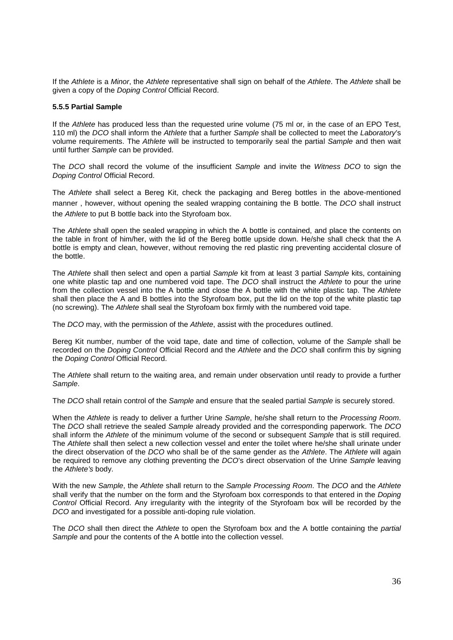If the Athlete is a Minor, the Athlete representative shall sign on behalf of the Athlete. The Athlete shall be given a copy of the Doping Control Official Record.

#### **5.5.5 Partial Sample**

If the Athlete has produced less than the requested urine volume (75 ml or, in the case of an EPO Test, 110 ml) the DCO shall inform the Athlete that a further Sample shall be collected to meet the Laboratory's volume requirements. The Athlete will be instructed to temporarily seal the partial Sample and then wait until further Sample can be provided.

The DCO shall record the volume of the insufficient Sample and invite the Witness DCO to sign the Doping Control Official Record.

The Athlete shall select a Bereg Kit, check the packaging and Bereg bottles in the above-mentioned manner, however, without opening the sealed wrapping containing the B bottle. The DCO shall instruct the Athlete to put B bottle back into the Styrofoam box.

The Athlete shall open the sealed wrapping in which the A bottle is contained, and place the contents on the table in front of him/her, with the lid of the Bereg bottle upside down. He/she shall check that the A bottle is empty and clean, however, without removing the red plastic ring preventing accidental closure of the bottle.

The Athlete shall then select and open a partial Sample kit from at least 3 partial Sample kits, containing one white plastic tap and one numbered void tape. The DCO shall instruct the Athlete to pour the urine from the collection vessel into the A bottle and close the A bottle with the white plastic tap. The Athlete shall then place the A and B bottles into the Styrofoam box, put the lid on the top of the white plastic tap (no screwing). The Athlete shall seal the Styrofoam box firmly with the numbered void tape.

The DCO may, with the permission of the Athlete, assist with the procedures outlined.

Bereg Kit number, number of the void tape, date and time of collection, volume of the Sample shall be recorded on the Doping Control Official Record and the Athlete and the DCO shall confirm this by signing the Doping Control Official Record.

The Athlete shall return to the waiting area, and remain under observation until ready to provide a further Sample.

The DCO shall retain control of the Sample and ensure that the sealed partial Sample is securely stored.

When the Athlete is ready to deliver a further Urine Sample, he/she shall return to the Processing Room. The DCO shall retrieve the sealed Sample already provided and the corresponding paperwork. The DCO shall inform the Athlete of the minimum volume of the second or subsequent Sample that is still required. The Athlete shall then select a new collection vessel and enter the toilet where he/she shall urinate under the direct observation of the DCO who shall be of the same gender as the Athlete. The Athlete will again be required to remove any clothing preventing the DCO's direct observation of the Urine Sample leaving the Athlete's body.

With the new Sample, the Athlete shall return to the Sample Processing Room. The DCO and the Athlete shall verify that the number on the form and the Styrofoam box corresponds to that entered in the Doping Control Official Record. Any irregularity with the integrity of the Styrofoam box will be recorded by the DCO and investigated for a possible anti-doping rule violation.

The DCO shall then direct the Athlete to open the Styrofoam box and the A bottle containing the partial Sample and pour the contents of the A bottle into the collection vessel.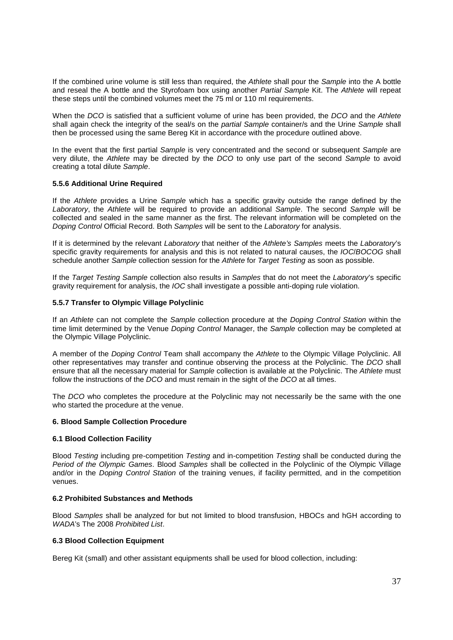If the combined urine volume is still less than required, the Athlete shall pour the Sample into the A bottle and reseal the A bottle and the Styrofoam box using another Partial Sample Kit. The Athlete will repeat these steps until the combined volumes meet the 75 ml or 110 ml requirements.

When the DCO is satisfied that a sufficient volume of urine has been provided, the DCO and the Athlete shall again check the integrity of the seal/s on the partial Sample container/s and the Urine Sample shall then be processed using the same Bereg Kit in accordance with the procedure outlined above.

In the event that the first partial Sample is very concentrated and the second or subsequent Sample are very dilute, the Athlete may be directed by the DCO to only use part of the second Sample to avoid creating a total dilute Sample.

#### **5.5.6 Additional Urine Required**

If the Athlete provides a Urine Sample which has a specific gravity outside the range defined by the Laboratory, the Athlete will be required to provide an additional Sample. The second Sample will be collected and sealed in the same manner as the first. The relevant information will be completed on the Doping Control Official Record. Both Samples will be sent to the Laboratory for analysis.

If it is determined by the relevant Laboratory that neither of the Athlete's Samples meets the Laboratory's specific gravity requirements for analysis and this is not related to natural causes, the IOC/BOCOG shall schedule another Sample collection session for the Athlete for Target Testing as soon as possible.

If the Target Testing Sample collection also results in Samples that do not meet the Laboratory's specific gravity requirement for analysis, the IOC shall investigate a possible anti-doping rule violation.

#### **5.5.7 Transfer to Olympic Village Polyclinic**

If an Athlete can not complete the Sample collection procedure at the Doping Control Station within the time limit determined by the Venue Doping Control Manager, the Sample collection may be completed at the Olympic Village Polyclinic.

A member of the Doping Control Team shall accompany the Athlete to the Olympic Village Polyclinic. All other representatives may transfer and continue observing the process at the Polyclinic. The DCO shall ensure that all the necessary material for Sample collection is available at the Polyclinic. The Athlete must follow the instructions of the DCO and must remain in the sight of the DCO at all times.

The DCO who completes the procedure at the Polyclinic may not necessarily be the same with the one who started the procedure at the venue.

#### **6. Blood Sample Collection Procedure**

#### **6.1 Blood Collection Facility**

Blood Testing including pre-competition Testing and in-competition Testing shall be conducted during the Period of the Olympic Games. Blood Samples shall be collected in the Polyclinic of the Olympic Village and/or in the *Doping Control Station* of the training venues, if facility permitted, and in the competition venues.

#### **6.2 Prohibited Substances and Methods**

Blood Samples shall be analyzed for but not limited to blood transfusion, HBOCs and hGH according to WADA's The 2008 Prohibited List.

#### **6.3 Blood Collection Equipment**

Bereg Kit (small) and other assistant equipments shall be used for blood collection, including: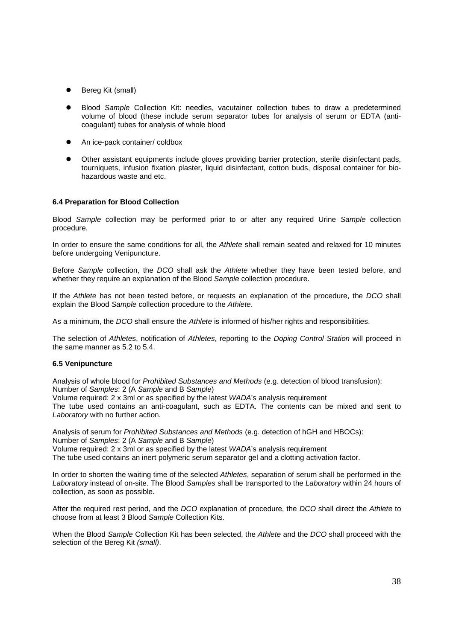- $\bullet$ Bereg Kit (small)
- $\bullet$  Blood Sample Collection Kit: needles, vacutainer collection tubes to draw a predetermined volume of blood (these include serum separator tubes for analysis of serum or EDTA (anticoagulant) tubes for analysis of whole blood
- $\bullet$ An ice-pack container/ coldbox
- $\bullet$  Other assistant equipments include gloves providing barrier protection, sterile disinfectant pads, tourniquets, infusion fixation plaster, liquid disinfectant, cotton buds, disposal container for biohazardous waste and etc.

#### **6.4 Preparation for Blood Collection**

Blood Sample collection may be performed prior to or after any required Urine Sample collection procedure.

In order to ensure the same conditions for all, the Athlete shall remain seated and relaxed for 10 minutes before undergoing Venipuncture.

Before Sample collection, the DCO shall ask the Athlete whether they have been tested before, and whether they require an explanation of the Blood Sample collection procedure.

If the Athlete has not been tested before, or requests an explanation of the procedure, the DCO shall explain the Blood Sample collection procedure to the Athlete.

As a minimum, the DCO shall ensure the Athlete is informed of his/her rights and responsibilities.

The selection of Athletes, notification of Athletes, reporting to the Doping Control Station will proceed in the same manner as 5.2 to 5.4.

#### **6.5 Venipuncture**

Analysis of whole blood for Prohibited Substances and Methods (e.g. detection of blood transfusion): Number of Samples: 2 (A Sample and B Sample)

Volume required: 2 x 3ml or as specified by the latest WADA's analysis requirement

The tube used contains an anti-coagulant, such as EDTA. The contents can be mixed and sent to Laboratory with no further action.

Analysis of serum for Prohibited Substances and Methods (e.g. detection of hGH and HBOCs): Number of Samples: 2 (A Sample and B Sample) Volume required: 2 x 3ml or as specified by the latest WADA's analysis requirement The tube used contains an inert polymeric serum separator gel and a clotting activation factor.

In order to shorten the waiting time of the selected Athletes, separation of serum shall be performed in the Laboratory instead of on-site. The Blood Samples shall be transported to the Laboratory within 24 hours of collection, as soon as possible.

After the required rest period, and the DCO explanation of procedure, the DCO shall direct the Athlete to choose from at least 3 Blood Sample Collection Kits.

When the Blood Sample Collection Kit has been selected, the Athlete and the DCO shall proceed with the selection of the Bereg Kit (small).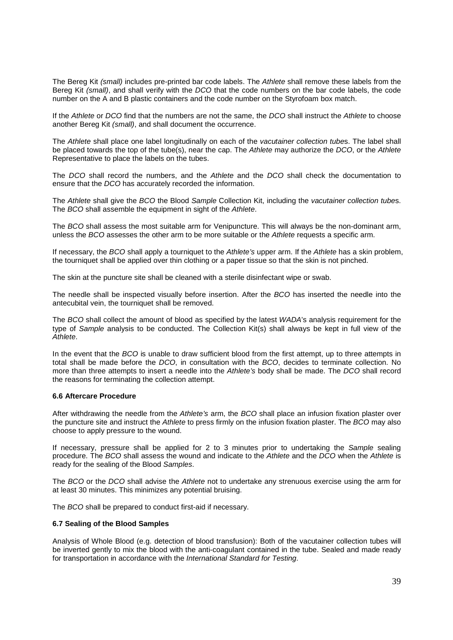The Bereg Kit (small) includes pre-printed bar code labels. The Athlete shall remove these labels from the Bereg Kit (small), and shall verify with the DCO that the code numbers on the bar code labels, the code number on the A and B plastic containers and the code number on the Styrofoam box match.

If the Athlete or DCO find that the numbers are not the same, the DCO shall instruct the Athlete to choose another Bereg Kit (small), and shall document the occurrence.

The Athlete shall place one label longitudinally on each of the vacutainer collection tubes. The label shall be placed towards the top of the tube(s), near the cap. The Athlete may authorize the DCO, or the Athlete Representative to place the labels on the tubes.

The DCO shall record the numbers, and the Athlete and the DCO shall check the documentation to ensure that the DCO has accurately recorded the information.

The Athlete shall give the BCO the Blood Sample Collection Kit, including the vacutainer collection tubes. The BCO shall assemble the equipment in sight of the Athlete.

The BCO shall assess the most suitable arm for Venipuncture. This will always be the non-dominant arm, unless the BCO assesses the other arm to be more suitable or the Athlete requests a specific arm.

If necessary, the BCO shall apply a tourniquet to the Athlete's upper arm. If the Athlete has a skin problem, the tourniquet shall be applied over thin clothing or a paper tissue so that the skin is not pinched.

The skin at the puncture site shall be cleaned with a sterile disinfectant wipe or swab.

The needle shall be inspected visually before insertion. After the BCO has inserted the needle into the antecubital vein, the tourniquet shall be removed.

The BCO shall collect the amount of blood as specified by the latest WADA's analysis requirement for the type of Sample analysis to be conducted. The Collection Kit(s) shall always be kept in full view of the Athlete.

In the event that the BCO is unable to draw sufficient blood from the first attempt, up to three attempts in total shall be made before the DCO, in consultation with the BCO, decides to terminate collection. No more than three attempts to insert a needle into the Athlete's body shall be made. The DCO shall record the reasons for terminating the collection attempt.

#### **6.6 Aftercare Procedure**

After withdrawing the needle from the Athlete's arm, the BCO shall place an infusion fixation plaster over the puncture site and instruct the Athlete to press firmly on the infusion fixation plaster. The BCO may also choose to apply pressure to the wound.

If necessary, pressure shall be applied for 2 to 3 minutes prior to undertaking the Sample sealing procedure. The BCO shall assess the wound and indicate to the Athlete and the DCO when the Athlete is ready for the sealing of the Blood Samples.

The BCO or the DCO shall advise the Athlete not to undertake any strenuous exercise using the arm for at least 30 minutes. This minimizes any potential bruising.

The BCO shall be prepared to conduct first-aid if necessary.

#### **6.7 Sealing of the Blood Samples**

Analysis of Whole Blood (e.g. detection of blood transfusion): Both of the vacutainer collection tubes will be inverted gently to mix the blood with the anti-coagulant contained in the tube. Sealed and made ready for transportation in accordance with the International Standard for Testing.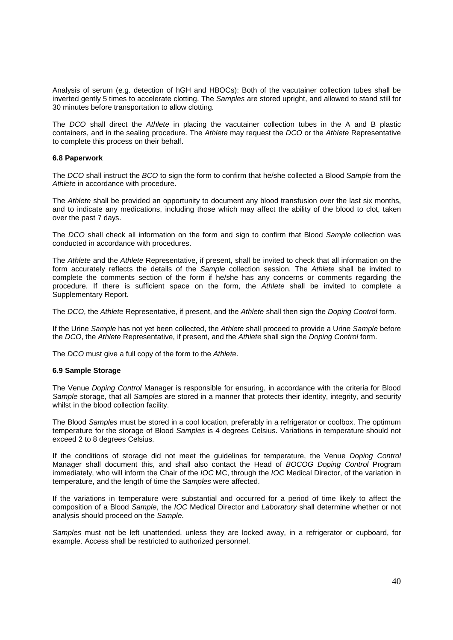Analysis of serum (e.g. detection of hGH and HBOCs): Both of the vacutainer collection tubes shall be inverted gently 5 times to accelerate clotting. The Samples are stored upright, and allowed to stand still for 30 minutes before transportation to allow clotting.

The DCO shall direct the Athlete in placing the vacutainer collection tubes in the A and B plastic containers, and in the sealing procedure. The Athlete may request the DCO or the Athlete Representative to complete this process on their behalf.

#### **6.8 Paperwork**

The DCO shall instruct the BCO to sign the form to confirm that he/she collected a Blood Sample from the Athlete in accordance with procedure.

The Athlete shall be provided an opportunity to document any blood transfusion over the last six months, and to indicate any medications, including those which may affect the ability of the blood to clot, taken over the past 7 days.

The DCO shall check all information on the form and sign to confirm that Blood Sample collection was conducted in accordance with procedures.

The Athlete and the Athlete Representative, if present, shall be invited to check that all information on the form accurately reflects the details of the Sample collection session. The Athlete shall be invited to complete the comments section of the form if he/she has any concerns or comments regarding the procedure. If there is sufficient space on the form, the Athlete shall be invited to complete a Supplementary Report.

The DCO, the Athlete Representative, if present, and the Athlete shall then sign the Doping Control form.

If the Urine Sample has not yet been collected, the Athlete shall proceed to provide a Urine Sample before the DCO, the Athlete Representative, if present, and the Athlete shall sign the Doping Control form.

The DCO must give a full copy of the form to the Athlete.

#### **6.9 Sample Storage**

The Venue *Doping Control* Manager is responsible for ensuring, in accordance with the criteria for Blood Sample storage, that all Samples are stored in a manner that protects their identity, integrity, and security whilst in the blood collection facility.

The Blood Samples must be stored in a cool location, preferably in a refrigerator or coolbox. The optimum temperature for the storage of Blood Samples is 4 degrees Celsius. Variations in temperature should not exceed 2 to 8 degrees Celsius.

If the conditions of storage did not meet the guidelines for temperature, the Venue Doping Control Manager shall document this, and shall also contact the Head of BOCOG Doping Control Program immediately, who will inform the Chair of the IOC MC, through the IOC Medical Director, of the variation in temperature, and the length of time the Samples were affected.

If the variations in temperature were substantial and occurred for a period of time likely to affect the composition of a Blood Sample, the IOC Medical Director and Laboratory shall determine whether or not analysis should proceed on the Sample.

Samples must not be left unattended, unless they are locked away, in a refrigerator or cupboard, for example. Access shall be restricted to authorized personnel.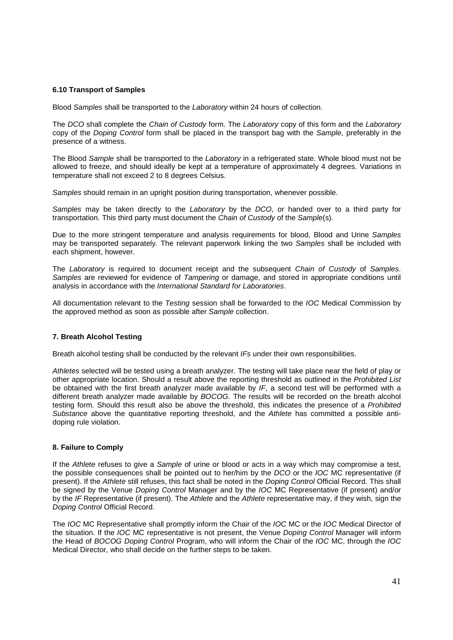#### **6.10 Transport of Samples**

Blood Samples shall be transported to the Laboratory within 24 hours of collection.

The DCO shall complete the Chain of Custody form. The Laboratory copy of this form and the Laboratory copy of the Doping Control form shall be placed in the transport bag with the Sample, preferably in the presence of a witness.

The Blood Sample shall be transported to the Laboratory in a refrigerated state. Whole blood must not be allowed to freeze, and should ideally be kept at a temperature of approximately 4 degrees. Variations in temperature shall not exceed 2 to 8 degrees Celsius.

Samples should remain in an upright position during transportation, whenever possible.

Samples may be taken directly to the Laboratory by the DCO, or handed over to a third party for transportation. This third party must document the Chain of Custody of the Sample(s).

Due to the more stringent temperature and analysis requirements for blood, Blood and Urine Samples may be transported separately. The relevant paperwork linking the two Samples shall be included with each shipment, however.

The Laboratory is required to document receipt and the subsequent Chain of Custody of Samples. Samples are reviewed for evidence of Tampering or damage, and stored in appropriate conditions until analysis in accordance with the International Standard for Laboratories.

All documentation relevant to the Testing session shall be forwarded to the IOC Medical Commission by the approved method as soon as possible after Sample collection.

#### **7. Breath Alcohol Testing**

Breath alcohol testing shall be conducted by the relevant IFs under their own responsibilities.

Athletes selected will be tested using a breath analyzer. The testing will take place near the field of play or other appropriate location. Should a result above the reporting threshold as outlined in the Prohibited List be obtained with the first breath analyzer made available by  $IF$ , a second test will be performed with a different breath analyzer made available by BOCOG. The results will be recorded on the breath alcohol testing form. Should this result also be above the threshold, this indicates the presence of a Prohibited Substance above the quantitative reporting threshold, and the Athlete has committed a possible antidoping rule violation.

#### **8. Failure to Comply**

If the Athlete refuses to give a Sample of urine or blood or acts in a way which may compromise a test, the possible consequences shall be pointed out to her/him by the DCO or the IOC MC representative (if present). If the Athlete still refuses, this fact shall be noted in the Doping Control Official Record. This shall be signed by the Venue Doping Control Manager and by the IOC MC Representative (if present) and/or by the IF Representative (if present). The Athlete and the Athlete representative may, if they wish, sign the Doping Control Official Record.

The IOC MC Representative shall promptly inform the Chair of the IOC MC or the IOC Medical Director of the situation. If the IOC MC representative is not present, the Venue Doping Control Manager will inform the Head of BOCOG Doping Control Program, who will inform the Chair of the IOC MC, through the IOC Medical Director, who shall decide on the further steps to be taken.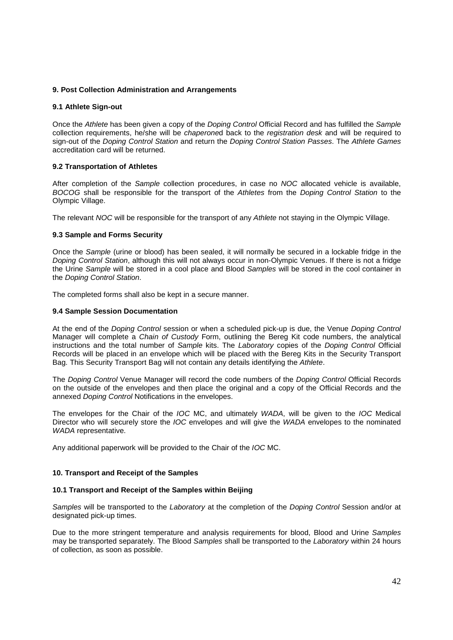#### **9. Post Collection Administration and Arrangements**

#### **9.1 Athlete Sign-out**

Once the Athlete has been given a copy of the Doping Control Official Record and has fulfilled the Sample collection requirements, he/she will be chaperoned back to the registration desk and will be required to sign-out of the Doping Control Station and return the Doping Control Station Passes. The Athlete Games accreditation card will be returned.

#### **9.2 Transportation of Athletes**

After completion of the Sample collection procedures, in case no NOC allocated vehicle is available, BOCOG shall be responsible for the transport of the Athletes from the Doping Control Station to the Olympic Village.

The relevant NOC will be responsible for the transport of any Athlete not staying in the Olympic Village.

#### **9.3 Sample and Forms Security**

Once the Sample (urine or blood) has been sealed, it will normally be secured in a lockable fridge in the Doping Control Station, although this will not always occur in non-Olympic Venues. If there is not a fridge the Urine Sample will be stored in a cool place and Blood Samples will be stored in the cool container in the Doping Control Station.

The completed forms shall also be kept in a secure manner.

#### **9.4 Sample Session Documentation**

At the end of the Doping Control session or when a scheduled pick-up is due, the Venue Doping Control Manager will complete a Chain of Custody Form, outlining the Bereg Kit code numbers, the analytical instructions and the total number of Sample kits. The Laboratory copies of the Doping Control Official Records will be placed in an envelope which will be placed with the Bereg Kits in the Security Transport Bag. This Security Transport Bag will not contain any details identifying the Athlete.

The Doping Control Venue Manager will record the code numbers of the Doping Control Official Records on the outside of the envelopes and then place the original and a copy of the Official Records and the annexed Doping Control Notifications in the envelopes.

The envelopes for the Chair of the IOC MC, and ultimately WADA, will be given to the IOC Medical Director who will securely store the IOC envelopes and will give the WADA envelopes to the nominated WADA representative.

Any additional paperwork will be provided to the Chair of the IOC MC.

#### **10. Transport and Receipt of the Samples**

#### **10.1 Transport and Receipt of the Samples within Beijing**

Samples will be transported to the Laboratory at the completion of the Doping Control Session and/or at designated pick-up times.

Due to the more stringent temperature and analysis requirements for blood, Blood and Urine Samples may be transported separately. The Blood Samples shall be transported to the Laboratory within 24 hours of collection, as soon as possible.